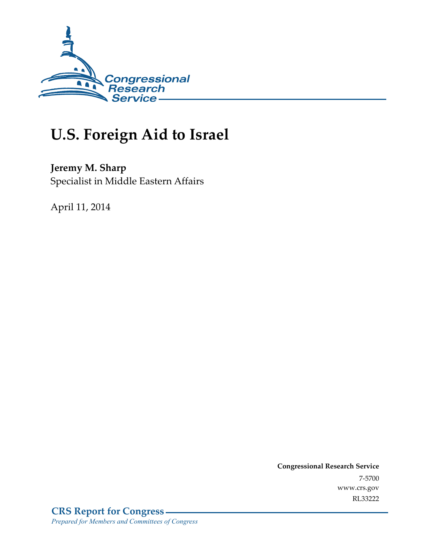

# **U.S. Foreign Aid to Israel**

## **Jeremy M. Sharp**

Specialist in Middle Eastern Affairs

April 11, 2014

**Congressional Research Service**  7-5700 www.crs.gov RL33222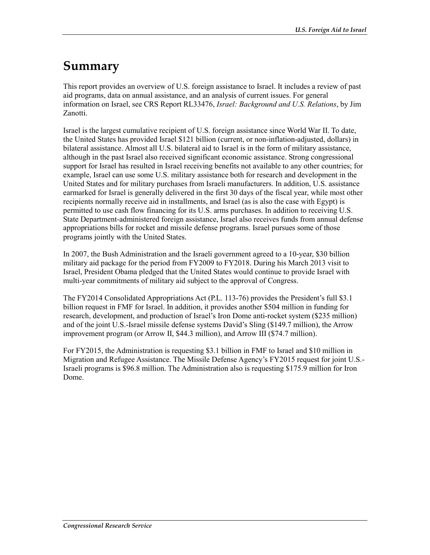# **Summary**

This report provides an overview of U.S. foreign assistance to Israel. It includes a review of past aid programs, data on annual assistance, and an analysis of current issues. For general information on Israel, see CRS Report RL33476, *Israel: Background and U.S. Relations*, by Jim Zanotti.

Israel is the largest cumulative recipient of U.S. foreign assistance since World War II. To date, the United States has provided Israel \$121 billion (current, or non-inflation-adjusted, dollars) in bilateral assistance. Almost all U.S. bilateral aid to Israel is in the form of military assistance, although in the past Israel also received significant economic assistance. Strong congressional support for Israel has resulted in Israel receiving benefits not available to any other countries; for example, Israel can use some U.S. military assistance both for research and development in the United States and for military purchases from Israeli manufacturers. In addition, U.S. assistance earmarked for Israel is generally delivered in the first 30 days of the fiscal year, while most other recipients normally receive aid in installments, and Israel (as is also the case with Egypt) is permitted to use cash flow financing for its U.S. arms purchases. In addition to receiving U.S. State Department-administered foreign assistance, Israel also receives funds from annual defense appropriations bills for rocket and missile defense programs. Israel pursues some of those programs jointly with the United States.

In 2007, the Bush Administration and the Israeli government agreed to a 10-year, \$30 billion military aid package for the period from FY2009 to FY2018. During his March 2013 visit to Israel, President Obama pledged that the United States would continue to provide Israel with multi-year commitments of military aid subject to the approval of Congress.

The FY2014 Consolidated Appropriations Act (P.L. 113-76) provides the President's full \$3.1 billion request in FMF for Israel. In addition, it provides another \$504 million in funding for research, development, and production of Israel's Iron Dome anti-rocket system (\$235 million) and of the joint U.S.-Israel missile defense systems David's Sling (\$149.7 million), the Arrow improvement program (or Arrow II, \$44.3 million), and Arrow III (\$74.7 million).

For FY2015, the Administration is requesting \$3.1 billion in FMF to Israel and \$10 million in Migration and Refugee Assistance. The Missile Defense Agency's FY2015 request for joint U.S.- Israeli programs is \$96.8 million. The Administration also is requesting \$175.9 million for Iron Dome.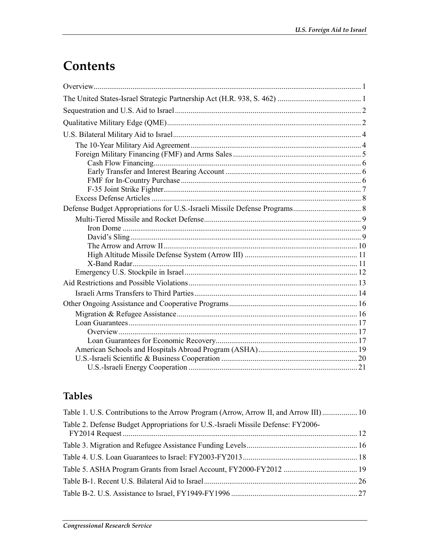# Contents

## **Tables**

| Table 1. U.S. Contributions to the Arrow Program (Arrow, Arrow II, and Arrow III) 10 |  |
|--------------------------------------------------------------------------------------|--|
| Table 2. Defense Budget Appropriations for U.S.-Israeli Missile Defense: FY2006-     |  |
|                                                                                      |  |
|                                                                                      |  |
|                                                                                      |  |
|                                                                                      |  |
|                                                                                      |  |
|                                                                                      |  |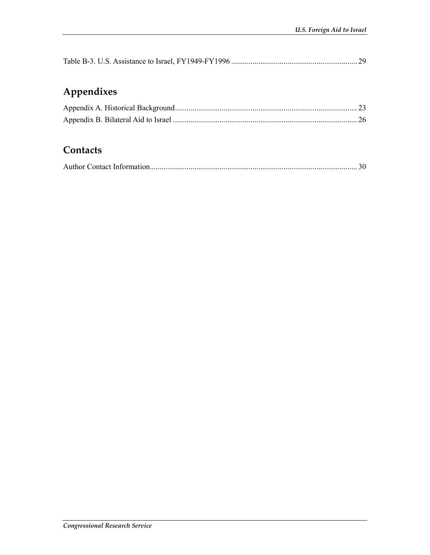|--|

## **Appendixes**

## **Contacts**

|--|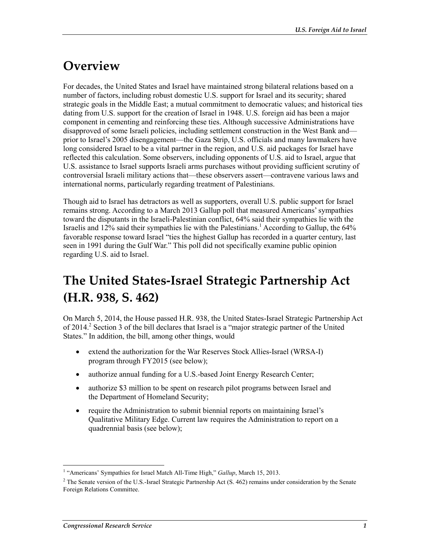## **Overview**

For decades, the United States and Israel have maintained strong bilateral relations based on a number of factors, including robust domestic U.S. support for Israel and its security; shared strategic goals in the Middle East; a mutual commitment to democratic values; and historical ties dating from U.S. support for the creation of Israel in 1948. U.S. foreign aid has been a major component in cementing and reinforcing these ties. Although successive Administrations have disapproved of some Israeli policies, including settlement construction in the West Bank and prior to Israel's 2005 disengagement—the Gaza Strip, U.S. officials and many lawmakers have long considered Israel to be a vital partner in the region, and U.S. aid packages for Israel have reflected this calculation. Some observers, including opponents of U.S. aid to Israel, argue that U.S. assistance to Israel supports Israeli arms purchases without providing sufficient scrutiny of controversial Israeli military actions that—these observers assert—contravene various laws and international norms, particularly regarding treatment of Palestinians.

Though aid to Israel has detractors as well as supporters, overall U.S. public support for Israel remains strong. According to a March 2013 Gallup poll that measured Americans' sympathies toward the disputants in the Israeli-Palestinian conflict, 64% said their sympathies lie with the Israelis and  $12\%$  said their sympathies lie with the Palestinians.<sup>1</sup> According to Gallup, the 64% favorable response toward Israel "ties the highest Gallup has recorded in a quarter century, last seen in 1991 during the Gulf War." This poll did not specifically examine public opinion regarding U.S. aid to Israel.

# **The United States-Israel Strategic Partnership Act (H.R. 938, S. 462)**

On March 5, 2014, the House passed H.R. 938, the United States-Israel Strategic Partnership Act of 2014.<sup>2</sup> Section 3 of the bill declares that Israel is a "major strategic partner of the United States." In addition, the bill, among other things, would

- extend the authorization for the War Reserves Stock Allies-Israel (WRSA-I) program through FY2015 (see below);
- authorize annual funding for a U.S.-based Joint Energy Research Center;
- authorize \$3 million to be spent on research pilot programs between Israel and the Department of Homeland Security;
- require the Administration to submit biennial reports on maintaining Israel's Qualitative Military Edge. Current law requires the Administration to report on a quadrennial basis (see below);

<sup>&</sup>lt;sup>1</sup> "Americans' Sympathies for Israel Match All-Time High," *Gallup*, March 15, 2013.

 $2$  The Senate version of the U.S.-Israel Strategic Partnership Act (S. 462) remains under consideration by the Senate Foreign Relations Committee.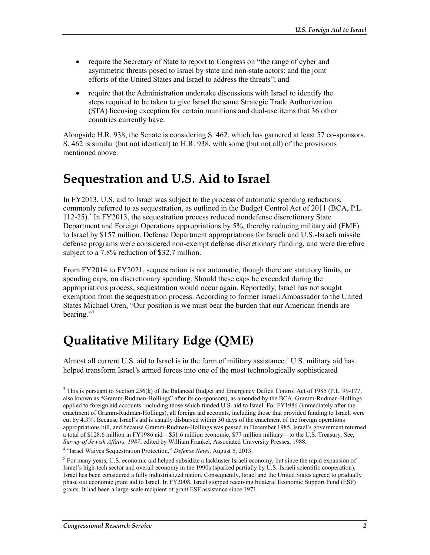- require the Secretary of State to report to Congress on "the range of cyber and asymmetric threats posed to Israel by state and non-state actors; and the joint efforts of the United States and Israel to address the threats"; and
- require that the Administration undertake discussions with Israel to identify the steps required to be taken to give Israel the same Strategic Trade Authorization (STA) licensing exception for certain munitions and dual-use items that 36 other countries currently have.

Alongside H.R. 938, the Senate is considering S. 462, which has garnered at least 57 co-sponsors. S. 462 is similar (but not identical) to H.R. 938, with some (but not all) of the provisions mentioned above.

## **Sequestration and U.S. Aid to Israel**

In FY2013, U.S. aid to Israel was subject to the process of automatic spending reductions, commonly referred to as sequestration, as outlined in the Budget Control Act of 2011 (BCA, P.L. 112-25).<sup>3</sup> In FY2013, the sequestration process reduced nondefense discretionary State Department and Foreign Operations appropriations by 5%, thereby reducing military aid (FMF) to Israel by \$157 million. Defense Department appropriations for Israeli and U.S.-Israeli missile defense programs were considered non-exempt defense discretionary funding, and were therefore subject to a 7.8% reduction of \$32.7 million.

From FY2014 to FY2021, sequestration is not automatic, though there are statutory limits, or spending caps, on discretionary spending. Should these caps be exceeded during the appropriations process, sequestration would occur again. Reportedly, Israel has not sought exemption from the sequestration process. According to former Israeli Ambassador to the United States Michael Oren, "Our position is we must bear the burden that our American friends are bearing."4

## **Qualitative Military Edge (QME)**

Almost all current U.S. aid to Israel is in the form of military assistance.<sup>5</sup> U.S. military aid has helped transform Israel's armed forces into one of the most technologically sophisticated

<u>.</u>

 $3$  This is pursuant to Section 256(k) of the Balanced Budget and Emergency Deficit Control Act of 1985 (P.L. 99-177, also known as "Gramm-Rudman-Hollings" after its co-sponsors), as amended by the BCA. Gramm-Rudman-Hollings applied to foreign aid accounts, including those which funded U.S. aid to Israel. For FY1986 (immediately after the enactment of Gramm-Rudman-Hollings), all foreign aid accounts, including those that provided funding to Israel, were cut by 4.3%. Because Israel's aid is usually disbursed within 30 days of the enactment of the foreign operations appropriations bill, and because Gramm-Rudman-Hollings was passed in December 1985, Israel's government returned a total of \$128.6 million in FY1986 aid—\$51.6 million economic, \$77 million military—to the U.S. Treasury. See, *Survey of Jewish Affairs, 1987*, edited by William Frankel, Associated University Presses, 1988.

<sup>4</sup> "Israel Waives Sequestration Protection," *Defense News*, August 5, 2013.

<sup>&</sup>lt;sup>5</sup> For many years, U.S. economic aid helped subsidize a lackluster Israeli economy, but since the rapid expansion of Israel's high-tech sector and overall economy in the 1990s (sparked partially by U.S.-Israeli scientific cooperation), Israel has been considered a fully industrialized nation. Consequently, Israel and the United States agreed to gradually phase out economic grant aid to Israel. In FY2008, Israel stopped receiving bilateral Economic Support Fund (ESF) grants. It had been a large-scale recipient of grant ESF assistance since 1971.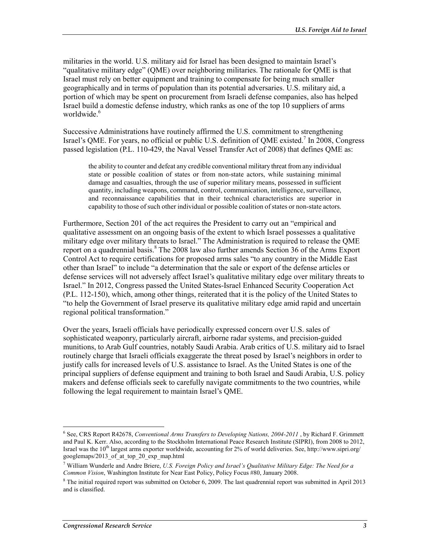militaries in the world. U.S. military aid for Israel has been designed to maintain Israel's "qualitative military edge" (QME) over neighboring militaries. The rationale for QME is that Israel must rely on better equipment and training to compensate for being much smaller geographically and in terms of population than its potential adversaries. U.S. military aid, a portion of which may be spent on procurement from Israeli defense companies, also has helped Israel build a domestic defense industry, which ranks as one of the top 10 suppliers of arms worldwide.<sup>6</sup>

Successive Administrations have routinely affirmed the U.S. commitment to strengthening Israel's QME. For years, no official or public U.S. definition of QME existed.<sup>7</sup> In 2008, Congress passed legislation (P.L. 110-429, the Naval Vessel Transfer Act of 2008) that defines QME as:

the ability to counter and defeat any credible conventional military threat from any individual state or possible coalition of states or from non-state actors, while sustaining minimal damage and casualties, through the use of superior military means, possessed in sufficient quantity, including weapons, command, control, communication, intelligence, surveillance, and reconnaissance capabilities that in their technical characteristics are superior in capability to those of such other individual or possible coalition of states or non-state actors.

Furthermore, Section 201 of the act requires the President to carry out an "empirical and qualitative assessment on an ongoing basis of the extent to which Israel possesses a qualitative military edge over military threats to Israel." The Administration is required to release the QME report on a quadrennial basis.<sup>8</sup> The 2008 law also further amends Section 36 of the Arms Export Control Act to require certifications for proposed arms sales "to any country in the Middle East other than Israel" to include "a determination that the sale or export of the defense articles or defense services will not adversely affect Israel's qualitative military edge over military threats to Israel." In 2012, Congress passed the United States-Israel Enhanced Security Cooperation Act (P.L. 112-150), which, among other things, reiterated that it is the policy of the United States to "to help the Government of Israel preserve its qualitative military edge amid rapid and uncertain regional political transformation."

Over the years, Israeli officials have periodically expressed concern over U.S. sales of sophisticated weaponry, particularly aircraft, airborne radar systems, and precision-guided munitions, to Arab Gulf countries, notably Saudi Arabia. Arab critics of U.S. military aid to Israel routinely charge that Israeli officials exaggerate the threat posed by Israel's neighbors in order to justify calls for increased levels of U.S. assistance to Israel. As the United States is one of the principal suppliers of defense equipment and training to both Israel and Saudi Arabia, U.S. policy makers and defense officials seek to carefully navigate commitments to the two countries, while following the legal requirement to maintain Israel's QME.

<sup>&</sup>lt;sup>6</sup> See, CRS Report R42678, *Conventional Arms Transfers to Developing Nations, 2004-2011*, by Richard F. Grimmett and Paul K. Kerr. Also, according to the Stockholm International Peace Research Institute (SIPRI), from 2008 to 2012, Israel was the 10<sup>th</sup> largest arms exporter worldwide, accounting for 2% of world deliveries. See, http://www.sipri.org/ googlemaps/2013\_of\_at\_top\_20\_exp\_map.html

<sup>7</sup> William Wunderle and Andre Briere, *U.S. Foreign Policy and Israel's Qualitative Military Edge: The Need for a Common Vision*, Washington Institute for Near East Policy, Policy Focus #80, January 2008.

<sup>&</sup>lt;sup>8</sup> The initial required report was submitted on October 6, 2009. The last quadrennial report was submitted in April 2013 and is classified.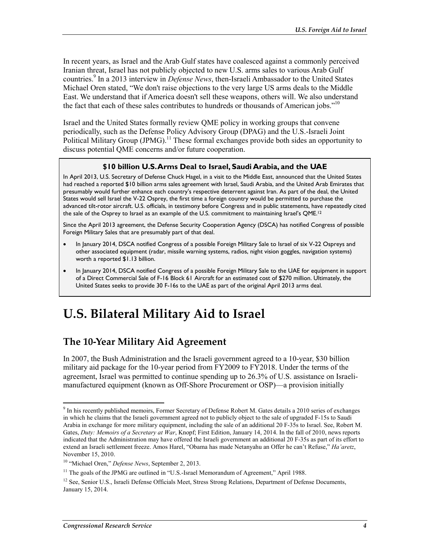In recent years, as Israel and the Arab Gulf states have coalesced against a commonly perceived Iranian threat, Israel has not publicly objected to new U.S. arms sales to various Arab Gulf countries.<sup>9</sup> In a 2013 interview in *Defense News*, then-Israeli Ambassador to the United States Michael Oren stated, "We don't raise objections to the very large US arms deals to the Middle East. We understand that if America doesn't sell these weapons, others will. We also understand the fact that each of these sales contributes to hundreds or thousands of American jobs."<sup>10</sup>

Israel and the United States formally review QME policy in working groups that convene periodically, such as the Defense Policy Advisory Group (DPAG) and the U.S.-Israeli Joint Political Military Group (JPMG).<sup>11</sup> These formal exchanges provide both sides an opportunity to discuss potential QME concerns and/or future cooperation.

#### **\$10 billion U.S. Arms Deal to Israel, Saudi Arabia, and the UAE**

In April 2013, U.S. Secretary of Defense Chuck Hagel, in a visit to the Middle East, announced that the United States had reached a reported \$10 billion arms sales agreement with Israel, Saudi Arabia, and the United Arab Emirates that presumably would further enhance each country's respective deterrent against Iran. As part of the deal, the United States would sell Israel the V-22 Osprey, the first time a foreign country would be permitted to purchase the advanced tilt-rotor aircraft. U.S. officials, in testimony before Congress and in public statements, have repeatedly cited the sale of the Osprey to Israel as an example of the U.S. commitment to maintaining Israel's QME.<sup>12</sup>

Since the April 2013 agreement, the Defense Security Cooperation Agency (DSCA) has notified Congress of possible Foreign Military Sales that are presumably part of that deal.

- In January 2014, DSCA notified Congress of a possible Foreign Military Sale to Israel of six V-22 Ospreys and other associated equipment (radar, missile warning systems, radios, night vision goggles, navigation systems) worth a reported \$1.13 billion.
- In January 2014, DSCA notified Congress of a possible Foreign Military Sale to the UAE for equipment in support of a Direct Commercial Sale of F-16 Block 61 Aircraft for an estimated cost of \$270 million. Ultimately, the United States seeks to provide 30 F-16s to the UAE as part of the original April 2013 arms deal.

## **U.S. Bilateral Military Aid to Israel**

## **The 10-Year Military Aid Agreement**

In 2007, the Bush Administration and the Israeli government agreed to a 10-year, \$30 billion military aid package for the 10-year period from FY2009 to FY2018. Under the terms of the agreement, Israel was permitted to continue spending up to 26.3% of U.S. assistance on Israelimanufactured equipment (known as Off-Shore Procurement or OSP)—a provision initially

<sup>&</sup>lt;u>.</u> <sup>9</sup> In his recently published memoirs, Former Secretary of Defense Robert M. Gates details a 2010 series of exchanges in which he claims that the Israeli government agreed not to publicly object to the sale of upgraded F-15s to Saudi Arabia in exchange for more military equipment, including the sale of an additional 20 F-35s to Israel. See, Robert M. Gates, *Duty: Memoirs of a Secretary at War*, Knopf; First Edition, January 14, 2014. In the fall of 2010, news reports indicated that the Administration may have offered the Israeli government an additional 20 F-35s as part of its effort to extend an Israeli settlement freeze. Amos Harel, "Obama has made Netanyahu an Offer he can't Refuse," *Ha'aretz*, November 15, 2010.

<sup>10 &</sup>quot;Michael Oren," *Defense News*, September 2, 2013.

<sup>&</sup>lt;sup>11</sup> The goals of the JPMG are outlined in "U.S.-Israel Memorandum of Agreement," April 1988.

<sup>&</sup>lt;sup>12</sup> See, Senior U.S., Israeli Defense Officials Meet, Stress Strong Relations, Department of Defense Documents, January 15, 2014.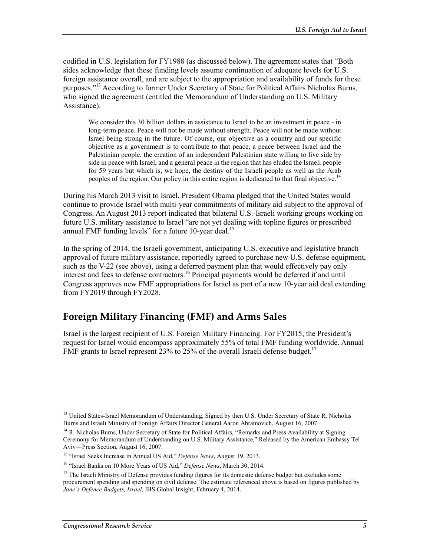codified in U.S. legislation for FY1988 (as discussed below). The agreement states that "Both sides acknowledge that these funding levels assume continuation of adequate levels for U.S. foreign assistance overall, and are subject to the appropriation and availability of funds for these purposes."13 According to former Under Secretary of State for Political Affairs Nicholas Burns, who signed the agreement (entitled the Memorandum of Understanding on U.S. Military Assistance):

We consider this 30 billion dollars in assistance to Israel to be an investment in peace - in long-term peace. Peace will not be made without strength. Peace will not be made without Israel being strong in the future. Of course, our objective as a country and our specific objective as a government is to contribute to that peace, a peace between Israel and the Palestinian people, the creation of an independent Palestinian state willing to live side by side in peace with Israel, and a general peace in the region that has eluded the Israeli people for 59 years but which is, we hope, the destiny of the Israeli people as well as the Arab peoples of the region. Our policy in this entire region is dedicated to that final objective.<sup>14</sup>

During his March 2013 visit to Israel, President Obama pledged that the United States would continue to provide Israel with multi-year commitments of military aid subject to the approval of Congress. An August 2013 report indicated that bilateral U.S.-Israeli working groups working on future U.S. military assistance to Israel "are not yet dealing with topline figures or prescribed annual FMF funding levels" for a future 10-year deal.<sup>15</sup>

In the spring of 2014, the Israeli government, anticipating U.S. executive and legislative branch approval of future military assistance, reportedly agreed to purchase new U.S. defense equipment, such as the V-22 (see above), using a deferred payment plan that would effectively pay only interest and fees to defense contractors.<sup>16</sup> Principal payments would be deferred if and until Congress approves new FMF appropriations for Israel as part of a new 10-year aid deal extending from FY2019 through FY2028.

## **Foreign Military Financing (FMF) and Arms Sales**

Israel is the largest recipient of U.S. Foreign Military Financing. For FY2015, the President's request for Israel would encompass approximately 55% of total FMF funding worldwide. Annual FMF grants to Israel represent 23% to 25% of the overall Israeli defense budget.<sup>17</sup>

<sup>1</sup> <sup>13</sup> United States-Israel Memorandum of Understanding, Signed by then U.S. Under Secretary of State R. Nicholas Burns and Israeli Ministry of Foreign Affairs Director General Aaron Abramovich, August 16, 2007.

<sup>&</sup>lt;sup>14</sup> R. Nicholas Burns, Under Secretary of State for Political Affairs, "Remarks and Press Availability at Signing Ceremony for Memorandum of Understanding on U.S. Military Assistance," Released by the American Embassy Tel Aviv—Press Section, August 16, 2007.

<sup>15 &</sup>quot;Israel Seeks Increase in Annual US Aid," *Defense News*, August 19, 2013.

<sup>16 &</sup>quot;Israel Banks on 10 More Years of US Aid," *Defense News*, March 30, 2014.

<sup>&</sup>lt;sup>17</sup> The Israeli Ministry of Defense provides funding figures for its domestic defense budget but excludes some procurement spending and spending on civil defense. The estimate referenced above is based on figures published by *Jane's Defence Budgets, Israel,* IHS Global Insight, February 4, 2014.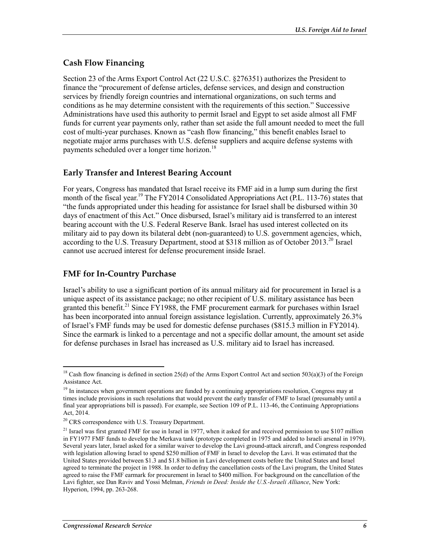### **Cash Flow Financing**

Section 23 of the Arms Export Control Act (22 U.S.C. §276351) authorizes the President to finance the "procurement of defense articles, defense services, and design and construction services by friendly foreign countries and international organizations, on such terms and conditions as he may determine consistent with the requirements of this section." Successive Administrations have used this authority to permit Israel and Egypt to set aside almost all FMF funds for current year payments only, rather than set aside the full amount needed to meet the full cost of multi-year purchases. Known as "cash flow financing," this benefit enables Israel to negotiate major arms purchases with U.S. defense suppliers and acquire defense systems with payments scheduled over a longer time horizon.<sup>18</sup>

#### **Early Transfer and Interest Bearing Account**

For years, Congress has mandated that Israel receive its FMF aid in a lump sum during the first month of the fiscal year.<sup>19</sup> The FY2014 Consolidated Appropriations Act (P.L. 113-76) states that "the funds appropriated under this heading for assistance for Israel shall be disbursed within 30 days of enactment of this Act." Once disbursed, Israel's military aid is transferred to an interest bearing account with the U.S. Federal Reserve Bank. Israel has used interest collected on its military aid to pay down its bilateral debt (non-guaranteed) to U.S. government agencies, which, according to the U.S. Treasury Department, stood at \$318 million as of October 2013.<sup>20</sup> Israel cannot use accrued interest for defense procurement inside Israel.

#### **FMF for In-Country Purchase**

Israel's ability to use a significant portion of its annual military aid for procurement in Israel is a unique aspect of its assistance package; no other recipient of U.S. military assistance has been granted this benefit.<sup>21</sup> Since FY1988, the FMF procurement earmark for purchases within Israel has been incorporated into annual foreign assistance legislation. Currently, approximately 26.3% of Israel's FMF funds may be used for domestic defense purchases (\$815.3 million in FY2014). Since the earmark is linked to a percentage and not a specific dollar amount, the amount set aside for defense purchases in Israel has increased as U.S. military aid to Israel has increased.

<sup>&</sup>lt;u>.</u> <sup>18</sup> Cash flow financing is defined in section 25(d) of the Arms Export Control Act and section 503(a)(3) of the Foreign Assistance Act.

<sup>&</sup>lt;sup>19</sup> In instances when government operations are funded by a continuing appropriations resolution, Congress may at times include provisions in such resolutions that would prevent the early transfer of FMF to Israel (presumably until a final year appropriations bill is passed). For example, see Section 109 of P.L. 113-46, the Continuing Appropriations Act, 2014.

<sup>20</sup> CRS correspondence with U.S. Treasury Department.

<sup>&</sup>lt;sup>21</sup> Israel was first granted FMF for use in Israel in 1977, when it asked for and received permission to use \$107 million in FY1977 FMF funds to develop the Merkava tank (prototype completed in 1975 and added to Israeli arsenal in 1979). Several years later, Israel asked for a similar waiver to develop the Lavi ground-attack aircraft, and Congress responded with legislation allowing Israel to spend \$250 million of FMF in Israel to develop the Lavi. It was estimated that the United States provided between \$1.3 and \$1.8 billion in Lavi development costs before the United States and Israel agreed to terminate the project in 1988. In order to defray the cancellation costs of the Lavi program, the United States agreed to raise the FMF earmark for procurement in Israel to \$400 million. For background on the cancellation of the Lavi fighter, see Dan Raviv and Yossi Melman, *Friends in Deed: Inside the U.S.-Israeli Alliance*, New York: Hyperion, 1994, pp. 263-268.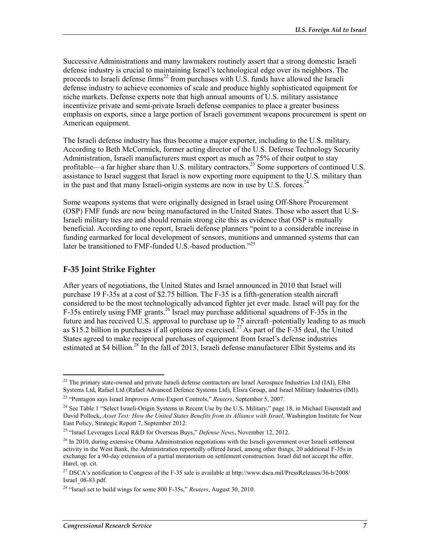Successive Administrations and many lawmakers routinely assert that a strong domestic Israeli defense industry is crucial to maintaining Israel's technological edge over its neighbors. The proceeds to Israeli defense firms<sup>22</sup> from purchases with U.S. funds have allowed the Israeli defense industry to achieve economies of scale and produce highly sophisticated equipment for niche markets. Defense experts note that high annual amounts of U.S. military assistance incentivize private and semi-private Israeli defense companies to place a greater business emphasis on exports, since a large portion of Israeli government weapons procurement is spent on American equipment.

The Israeli defense industry has thus become a major exporter, including to the U.S. military. According to Beth McCormick, former acting director of the U.S. Defense Technology Security Administration, Israeli manufacturers must export as much as 75% of their output to stay profitable—a far higher share than U.S. military contractors.<sup>23</sup> Some supporters of continued U.S. assistance to Israel suggest that Israel is now exporting more equipment to the U.S. military than in the past and that many Israeli-origin systems are now in use by U.S. forces.<sup>24</sup>

Some weapons systems that were originally designed in Israel using Off-Shore Procurement (OSP) FMF funds are now being manufactured in the United States. Those who assert that U.S-Israeli military ties are and should remain strong cite this as evidence that OSP is mutually beneficial. According to one report, Israeli defense planners "point to a considerable increase in funding earmarked for local development of sensors, munitions and unmanned systems that can later be transitioned to FMF-funded U.S.-based production."<sup>25</sup>

#### **F-35 Joint Strike Fighter**

<u>.</u>

After years of negotiations, the United States and Israel announced in 2010 that Israel will purchase 19 F-35s at a cost of \$2.75 billion. The F-35 is a fifth-generation stealth aircraft considered to be the most technologically advanced fighter jet ever made. Israel will pay for the F-35s entirely using FMF grants.<sup>26</sup> Israel may purchase additional squadrons of F-35s in the future and has received U.S. approval to purchase up to 75 aircraft–potentially leading to as much as \$15.2 billion in purchases if all options are exercised.<sup>27</sup> As part of the F-35 deal, the United States agreed to make reciprocal purchases of equipment from Israel's defense industries estimated at \$4 billion.<sup>28</sup> In the fall of 2013, Israeli defense manufacturer Elbit Systems and its

 $^{22}$  The primary state-owned and private Israeli defense contractors are Israel Aerospace Industries Ltd (IAI), Elbit Systems Ltd, Rafael Ltd (Rafael Advanced Defence Systems Ltd), Elisra Group, and Israel Military Industries (IMI).

<sup>23 &</sup>quot;Pentagon says Israel Improves Arms-Export Controls," *Reuters*, September 5, 2007.

<sup>&</sup>lt;sup>24</sup> See Table 1 "Select Israeli-Origin Systems in Recent Use by the U.S. Military," page 18, in Michael Eisenstadt and David Pollock, *Asset Test: How the United States Benefits from its Alliance with Israel*, Washington Institute for Near East Policy, Strategic Report 7, September 2012.

<sup>25 &</sup>quot;Israel Leverages Local R&D for Overseas Buys," *Defense News*, November 12, 2012.

<sup>&</sup>lt;sup>26</sup> In 2010, during extensive Obama Administration negotiations with the Israeli government over Israeli settlement activity in the West Bank, the Administration reportedly offered Israel, among other things, 20 additional F-35s in exchange for a 90-day extension of a partial moratorium on settlement construction. Israel did not accept the offer. Harel, op. cit.

<sup>&</sup>lt;sup>27</sup> DSCA's notification to Congress of the F-35 sale is available at http://www.dsca.mil/PressReleases/36-b/2008/ Israel\_08-83.pdf.

<sup>28 &</sup>quot;Israel set to build wings for some 800 F-35s," *Reuters*, August 30, 2010.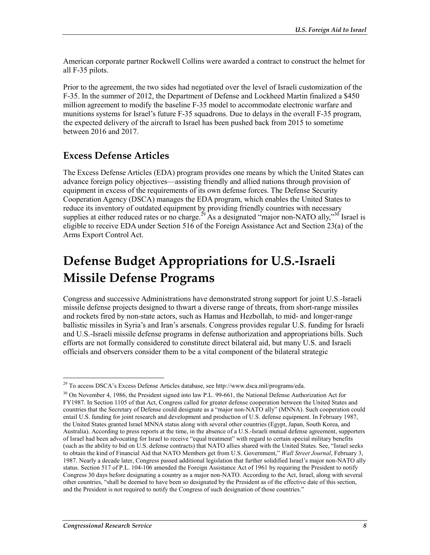American corporate partner Rockwell Collins were awarded a contract to construct the helmet for all F-35 pilots.

Prior to the agreement, the two sides had negotiated over the level of Israeli customization of the F-35. In the summer of 2012, the Department of Defense and Lockheed Martin finalized a \$450 million agreement to modify the baseline F-35 model to accommodate electronic warfare and munitions systems for Israel's future F-35 squadrons. Due to delays in the overall F-35 program, the expected delivery of the aircraft to Israel has been pushed back from 2015 to sometime between 2016 and 2017.

## **Excess Defense Articles**

The Excess Defense Articles (EDA) program provides one means by which the United States can advance foreign policy objectives—assisting friendly and allied nations through provision of equipment in excess of the requirements of its own defense forces. The Defense Security Cooperation Agency (DSCA) manages the EDA program, which enables the United States to reduce its inventory of outdated equipment by providing friendly countries with necessary supplies at either reduced rates or no charge.<sup>29</sup> As a designated "major non-NATO ally,"<sup>30'</sup> Israel is eligible to receive EDA under Section 516 of the Foreign Assistance Act and Section 23(a) of the Arms Export Control Act.

## **Defense Budget Appropriations for U.S.-Israeli Missile Defense Programs**

Congress and successive Administrations have demonstrated strong support for joint U.S.-Israeli missile defense projects designed to thwart a diverse range of threats, from short-range missiles and rockets fired by non-state actors, such as Hamas and Hezbollah, to mid- and longer-range ballistic missiles in Syria's and Iran's arsenals. Congress provides regular U.S. funding for Israeli and U.S.-Israeli missile defense programs in defense authorization and appropriations bills. Such efforts are not formally considered to constitute direct bilateral aid, but many U.S. and Israeli officials and observers consider them to be a vital component of the bilateral strategic

<sup>1</sup> <sup>29</sup> To access DSCA's Excess Defense Articles database, see http://www.dsca.mil/programs/eda.

<sup>&</sup>lt;sup>30</sup> On November 4, 1986, the President signed into law P.L. 99-661, the National Defense Authorization Act for FY1987. In Section 1105 of that Act, Congress called for greater defense cooperation between the United States and countries that the Secretary of Defense could designate as a "major non-NATO ally" (MNNA). Such cooperation could entail U.S. funding for joint research and development and production of U.S. defense equipment. In February 1987, the United States granted Israel MNNA status along with several other countries (Egypt, Japan, South Korea, and Australia). According to press reports at the time, in the absence of a U.S.-Israeli mutual defense agreement, supporters of Israel had been advocating for Israel to receive "equal treatment" with regard to certain special military benefits (such as the ability to bid on U.S. defense contracts) that NATO allies shared with the United States. See, "Israel seeks to obtain the kind of Financial Aid that NATO Members get from U.S. Government," *Wall Street Journal*, February 3, 1987. Nearly a decade later, Congress passed additional legislation that further solidified Israel's major non-NATO ally status. Section 517 of P.L. 104-106 amended the Foreign Assistance Act of 1961 by requiring the President to notify Congress 30 days before designating a country as a major non-NATO. According to the Act, Israel, along with several other countries, "shall be deemed to have been so designated by the President as of the effective date of this section, and the President is not required to notify the Congress of such designation of those countries."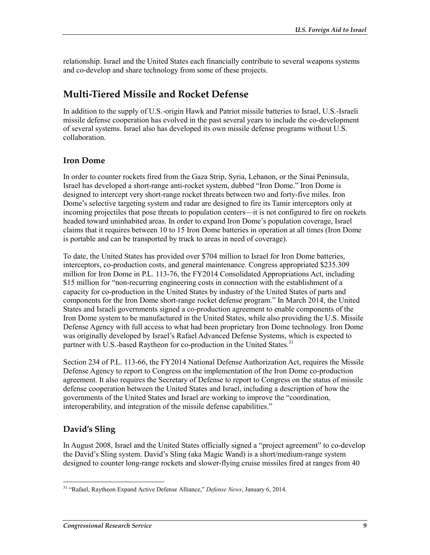relationship. Israel and the United States each financially contribute to several weapons systems and co-develop and share technology from some of these projects.

## **Multi-Tiered Missile and Rocket Defense**

In addition to the supply of U.S.-origin Hawk and Patriot missile batteries to Israel, U.S.-Israeli missile defense cooperation has evolved in the past several years to include the co-development of several systems. Israel also has developed its own missile defense programs without U.S. collaboration.

#### **Iron Dome**

In order to counter rockets fired from the Gaza Strip, Syria, Lebanon, or the Sinai Peninsula, Israel has developed a short-range anti-rocket system, dubbed "Iron Dome." Iron Dome is designed to intercept very short-range rocket threats between two and forty-five miles. Iron Dome's selective targeting system and radar are designed to fire its Tamir interceptors only at incoming projectiles that pose threats to population centers—it is not configured to fire on rockets headed toward uninhabited areas. In order to expand Iron Dome's population coverage, Israel claims that it requires between 10 to 15 Iron Dome batteries in operation at all times (Iron Dome is portable and can be transported by truck to areas in need of coverage).

To date, the United States has provided over \$704 million to Israel for Iron Dome batteries, interceptors, co-production costs, and general maintenance. Congress appropriated \$235.309 million for Iron Dome in P.L. 113-76, the FY2014 Consolidated Appropriations Act, including \$15 million for "non-recurring engineering costs in connection with the establishment of a capacity for co-production in the United States by industry of the United States of parts and components for the Iron Dome short-range rocket defense program." In March 2014, the United States and Israeli governments signed a co-production agreement to enable components of the Iron Dome system to be manufactured in the United States, while also providing the U.S. Missile Defense Agency with full access to what had been proprietary Iron Dome technology. Iron Dome was originally developed by Israel's Rafael Advanced Defense Systems, which is expected to partner with U.S.-based Raytheon for co-production in the United States.<sup>31</sup>

Section 234 of P.L. 113-66, the FY2014 National Defense Authorization Act, requires the Missile Defense Agency to report to Congress on the implementation of the Iron Dome co-production agreement. It also requires the Secretary of Defense to report to Congress on the status of missile defense cooperation between the United States and Israel, including a description of how the governments of the United States and Israel are working to improve the "coordination, interoperability, and integration of the missile defense capabilities."

### **David's Sling**

In August 2008, Israel and the United States officially signed a "project agreement" to co-develop the David's Sling system. David's Sling (aka Magic Wand) is a short/medium-range system designed to counter long-range rockets and slower-flying cruise missiles fired at ranges from 40

<sup>&</sup>lt;u>.</u> 31 "Rafael, Raytheon Expand Active Defense Alliance," *Defense News*, January 6, 2014.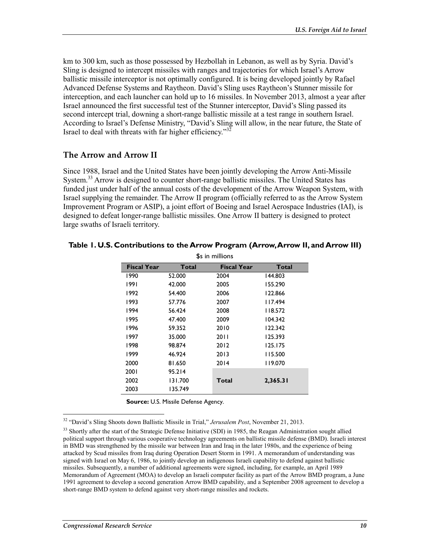km to 300 km, such as those possessed by Hezbollah in Lebanon, as well as by Syria. David's Sling is designed to intercept missiles with ranges and trajectories for which Israel's Arrow ballistic missile interceptor is not optimally configured. It is being developed jointly by Rafael Advanced Defense Systems and Raytheon. David's Sling uses Raytheon's Stunner missile for interception, and each launcher can hold up to 16 missiles. In November 2013, almost a year after Israel announced the first successful test of the Stunner interceptor, David's Sling passed its second intercept trial, downing a short-range ballistic missile at a test range in southern Israel. According to Israel's Defense Ministry, "David's Sling will allow, in the near future, the State of Israel to deal with threats with far higher efficiency." $32$ 

#### **The Arrow and Arrow II**

Since 1988, Israel and the United States have been jointly developing the Arrow Anti-Missile System.<sup>33</sup> Arrow is designed to counter short-range ballistic missiles. The United States has funded just under half of the annual costs of the development of the Arrow Weapon System, with Israel supplying the remainder. The Arrow II program (officially referred to as the Arrow System Improvement Program or ASIP), a joint effort of Boeing and Israel Aerospace Industries (IAI), is designed to defeat longer-range ballistic missiles. One Arrow II battery is designed to protect large swaths of Israeli territory.

| \$s in millions    |         |                    |          |  |  |  |
|--------------------|---------|--------------------|----------|--|--|--|
| <b>Fiscal Year</b> | Total   | <b>Fiscal Year</b> | Total    |  |  |  |
| 1990               | 52.000  | 2004               | 144.803  |  |  |  |
| 1991               | 42.000  | 2005               | 155.290  |  |  |  |
| 1992               | 54.400  | 2006               | 122.866  |  |  |  |
| 1993               | 57.776  | 2007               | 117.494  |  |  |  |
| 1994               | 56.424  | 2008               | 118.572  |  |  |  |
| 1995               | 47.400  | 2009               | 104.342  |  |  |  |
| 1996               | 59.352  | 2010               | 122.342  |  |  |  |
| 1997               | 35.000  | 2011               | 125.393  |  |  |  |
| 1998               | 98.874  | 2012               | 125.175  |  |  |  |
| 1999               | 46.924  | 2013               | 115.500  |  |  |  |
| 2000               | 81.650  | 2014               | 119.070  |  |  |  |
| 2001               | 95.214  |                    |          |  |  |  |
| 2002               | 131.700 | Total              | 2,365.31 |  |  |  |
| 2003               | 135.749 |                    |          |  |  |  |

#### **Table 1. U.S. Contributions to the Arrow Program (Arrow, Arrow II, and Arrow III)**

**Source:** U.S. Missile Defense Agency.

32 "David's Sling Shoots down Ballistic Missile in Trial," *Jerusalem Post*, November 21, 2013.

 $33$  Shortly after the start of the Strategic Defense Initiative (SDI) in 1985, the Reagan Administration sought allied political support through various cooperative technology agreements on ballistic missile defense (BMD). Israeli interest in BMD was strengthened by the missile war between Iran and Iraq in the later 1980s, and the experience of being attacked by Scud missiles from Iraq during Operation Desert Storm in 1991. A memorandum of understanding was signed with Israel on May 6, 1986, to jointly develop an indigenous Israeli capability to defend against ballistic missiles. Subsequently, a number of additional agreements were signed, including, for example, an April 1989 Memorandum of Agreement (MOA) to develop an Israeli computer facility as part of the Arrow BMD program, a June 1991 agreement to develop a second generation Arrow BMD capability, and a September 2008 agreement to develop a short-range BMD system to defend against very short-range missiles and rockets.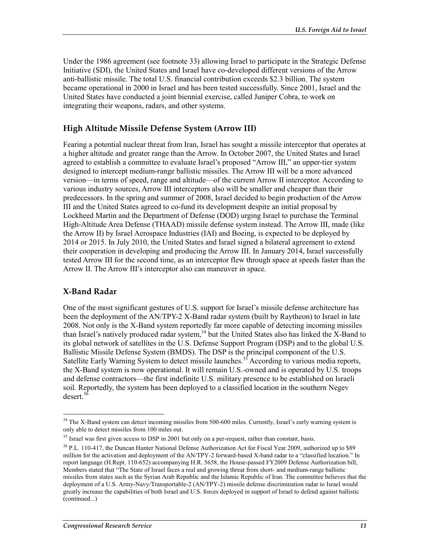Under the 1986 agreement (see footnote 33) allowing Israel to participate in the Strategic Defense Initiative (SDI), the United States and Israel have co-developed different versions of the Arrow anti-ballistic missile. The total U.S. financial contribution exceeds \$2.3 billion. The system became operational in 2000 in Israel and has been tested successfully. Since 2001, Israel and the United States have conducted a joint biennial exercise, called Juniper Cobra, to work on integrating their weapons, radars, and other systems.

#### **High Altitude Missile Defense System (Arrow III)**

Fearing a potential nuclear threat from Iran, Israel has sought a missile interceptor that operates at a higher altitude and greater range than the Arrow. In October 2007, the United States and Israel agreed to establish a committee to evaluate Israel's proposed "Arrow III," an upper-tier system designed to intercept medium-range ballistic missiles. The Arrow III will be a more advanced version—in terms of speed, range and altitude—of the current Arrow II interceptor. According to various industry sources, Arrow III interceptors also will be smaller and cheaper than their predecessors. In the spring and summer of 2008, Israel decided to begin production of the Arrow III and the United States agreed to co-fund its development despite an initial proposal by Lockheed Martin and the Department of Defense (DOD) urging Israel to purchase the Terminal High-Altitude Area Defense (THAAD) missile defense system instead. The Arrow III, made (like the Arrow II) by Israel Aerospace Industries (IAI) and Boeing, is expected to be deployed by 2014 or 2015. In July 2010, the United States and Israel signed a bilateral agreement to extend their cooperation in developing and producing the Arrow III. In January 2014, Israel successfully tested Arrow III for the second time, as an interceptor flew through space at speeds faster than the Arrow II. The Arrow III's interceptor also can maneuver in space.

#### **X-Band Radar**

1

One of the most significant gestures of U.S. support for Israel's missile defense architecture has been the deployment of the AN/TPY-2 X-Band radar system (built by Raytheon) to Israel in late 2008. Not only is the X-Band system reportedly far more capable of detecting incoming missiles than Israel's natively produced radar system,  $34$  but the United States also has linked the X-Band to its global network of satellites in the U.S. Defense Support Program (DSP) and to the global U.S. Ballistic Missile Defense System (BMDS). The DSP is the principal component of the U.S. Satellite Early Warning System to detect missile launches.<sup>35</sup> According to various media reports, the X-Band system is now operational. It will remain U.S.-owned and is operated by U.S. troops and defense contractors—the first indefinite U.S. military presence to be established on Israeli soil. Reportedly, the system has been deployed to a classified location in the southern Negev desert.<sup>36</sup>

 $34$  The X-Band system can detect incoming missiles from 500-600 miles. Currently, Israel's early warning system is only able to detect missiles from 100 miles out.

<sup>&</sup>lt;sup>35</sup> Israel was first given access to DSP in 2001 but only on a per-request, rather than constant, basis.

<sup>&</sup>lt;sup>36</sup> P.L. 110-417, the Duncan Hunter National Defense Authorization Act for Fiscal Year 2009, authorized up to \$89 million for the activation and deployment of the AN/TPY-2 forward-based X-band radar to a "classified location." In report language (H.Rept. 110-652) accompanying H.R. 5658, the House-passed FY2009 Defense Authorization bill, Members stated that "The State of Israel faces a real and growing threat from short- and medium-range ballistic missiles from states such as the Syrian Arab Republic and the Islamic Republic of Iran. The committee believes that the deployment of a U.S. Army-Navy/Transportable-2 (AN/TPY-2) missile defense discrimination radar to Israel would greatly increase the capabilities of both Israel and U.S. forces deployed in support of Israel to defend against ballistic (continued...)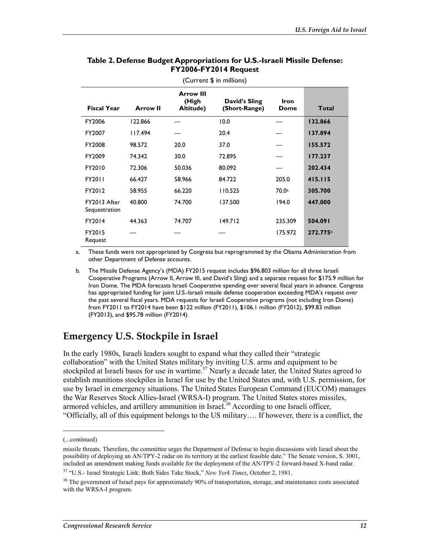#### **Table 2. Defense Budget Appropriations for U.S.-Israeli Missile Defense: FY2006-FY2014 Request**

| <b>Fiscal Year</b>            | <b>Arrow II</b> | <b>Arrow III</b><br>(High<br>Altitude) | David's Sling<br>(Short-Range) | <b>Iron</b><br>Dome | Total    |
|-------------------------------|-----------------|----------------------------------------|--------------------------------|---------------------|----------|
| FY2006                        | 122.866         |                                        | 10.0                           |                     | 132.866  |
| FY2007                        | 117.494         |                                        | 20.4                           |                     | 137.894  |
| FY2008                        | 98.572          | 20.0                                   | 37.0                           |                     | 155.572  |
| FY2009                        | 74.342          | 30.0                                   | 72.895                         |                     | 177.237  |
| FY2010                        | 72.306          | 50.036                                 | 80.092                         |                     | 202.434  |
| FY2011                        | 66.427          | 58.966                                 | 84.722                         | 205.0               | 415.115  |
| FY2012                        | 58.955          | 66.220                                 | 110.525                        | 70.0a               | 305.700  |
| FY2013 After<br>Sequestration | 40.800          | 74.700                                 | 137.500                        | 194.0               | 447.000  |
| FY2014                        | 44.363          | 74.707                                 | 149.712                        | 235.309             | 504.091  |
| FY2015<br>Request             |                 |                                        |                                | 175.972             | 272.775b |

(Current \$ in millions)

a. These funds were not appropriated by Congress but reprogrammed by the Obama Administration from other Department of Defense accounts.

b. The Missile Defense Agency's (MDA) FY2015 request includes \$96.803 million for all three Israeli Cooperative Programs (Arrow II, Arrow III, and David's Sling) and a separate request for \$175.9 million for Iron Dome. The MDA forecasts Israeli Cooperative spending over several fiscal years in advance. Congress has appropriated funding for joint U.S.-Israeli missile defense cooperation exceeding MDA's request over the past several fiscal years. MDA requests for Israeli Cooperative programs (not including Iron Dome) from FY2011 to FY2014 have been \$122 million (FY2011), \$106.1 million (FY2012), \$99.83 million (FY2013), and \$95.78 million (FY2014).

### **Emergency U.S. Stockpile in Israel**

In the early 1980s, Israeli leaders sought to expand what they called their "strategic collaboration" with the United States military by inviting U.S. arms and equipment to be stockpiled at Israeli bases for use in wartime.<sup>37</sup> Nearly a decade later, the United States agreed to establish munitions stockpiles in Israel for use by the United States and, with U.S. permission, for use by Israel in emergency situations. The United States European Command (EUCOM) manages the War Reserves Stock Allies-Israel (WRSA-I) program. The United States stores missiles, armored vehicles, and artillery ammunition in Israel.<sup>38</sup> According to one Israeli officer, "Officially, all of this equipment belongs to the US military…. If however, there is a conflict, the

<sup>(...</sup>continued)

missile threats. Therefore, the committee urges the Department of Defense to begin discussions with Israel about the possibility of deploying an AN/TPY-2 radar on its territory at the earliest feasible date." The Senate version, S. 3001, included an amendment making funds available for the deployment of the AN/TPY-2 forward-based X-band radar.

<sup>37 &</sup>quot;U.S.- Israel Strategic Link: Both Sides Take Stock," *New York Times*, October 2, 1981.

<sup>&</sup>lt;sup>38</sup> The government of Israel pays for approximately 90% of transportation, storage, and maintenance costs associated with the WRSA-I program.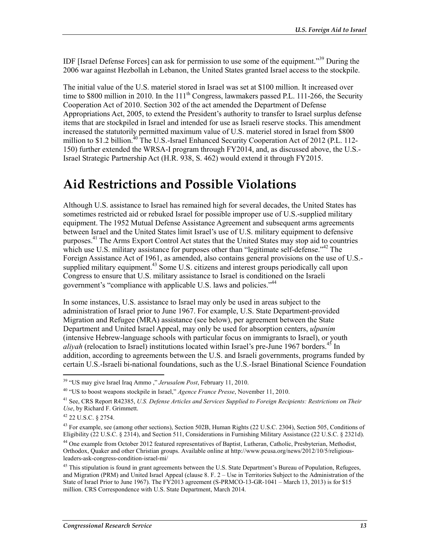IDF [Israel Defense Forces] can ask for permission to use some of the equipment."39 During the 2006 war against Hezbollah in Lebanon, the United States granted Israel access to the stockpile.

The initial value of the U.S. materiel stored in Israel was set at \$100 million. It increased over time to \$800 million in 2010. In the  $111<sup>th</sup>$  Congress, lawmakers passed P.L. 111-266, the Security Cooperation Act of 2010. Section 302 of the act amended the Department of Defense Appropriations Act, 2005, to extend the President's authority to transfer to Israel surplus defense items that are stockpiled in Israel and intended for use as Israeli reserve stocks. This amendment increased the statutorily permitted maximum value of U.S. materiel stored in Israel from \$800 million to \$1.2 billion.<sup>40</sup> The U.S.-Israel Enhanced Security Cooperation Act of 2012 (P.L. 112-150) further extended the WRSA-I program through FY2014, and, as discussed above, the U.S.- Israel Strategic Partnership Act (H.R. 938, S. 462) would extend it through FY2015.

## **Aid Restrictions and Possible Violations**

Although U.S. assistance to Israel has remained high for several decades, the United States has sometimes restricted aid or rebuked Israel for possible improper use of U.S.-supplied military equipment. The 1952 Mutual Defense Assistance Agreement and subsequent arms agreements between Israel and the United States limit Israel's use of U.S. military equipment to defensive purposes.<sup>41</sup> The Arms Export Control Act states that the United States may stop aid to countries which use U.S. military assistance for purposes other than "legitimate self-defense."<sup>42</sup> The Foreign Assistance Act of 1961, as amended, also contains general provisions on the use of U.S. supplied military equipment.<sup>43</sup> Some U.S. citizens and interest groups periodically call upon Congress to ensure that U.S. military assistance to Israel is conditioned on the Israeli government's "compliance with applicable U.S. laws and policies."44

In some instances, U.S. assistance to Israel may only be used in areas subject to the administration of Israel prior to June 1967. For example, U.S. State Department-provided Migration and Refugee (MRA) assistance (see below), per agreement between the State Department and United Israel Appeal, may only be used for absorption centers, *ulpanim* (intensive Hebrew-language schools with particular focus on immigrants to Israel), or youth *aliyah* (relocation to Israel) institutions located within Israel's pre-June 1967 borders.<sup>45</sup> In addition, according to agreements between the U.S. and Israeli governments, programs funded by certain U.S.-Israeli bi-national foundations, such as the U.S.-Israel Binational Science Foundation

<u>.</u>

<sup>39 &</sup>quot;US may give Israel Iraq Ammo ," *Jerusalem Post*, February 11, 2010.

<sup>40 &</sup>quot;US to boost weapons stockpile in Israel," *Agence France Presse*, November 11, 2010.

<sup>41</sup> See, CRS Report R42385, *U.S. Defense Articles and Services Supplied to Foreign Recipients: Restrictions on Their Use*, by Richard F. Grimmett.

<sup>42 22</sup> U.S.C. § 2754.

<sup>&</sup>lt;sup>43</sup> For example, see (among other sections), Section 502B, Human Rights (22 U.S.C. 2304), Section 505, Conditions of Eligibility (22 U.S.C. § 2314), and Section 511, Considerations in Furnishing Military Assistance (22 U.S.C. § 2321d). <sup>44</sup> One example from October 2012 featured representatives of Baptist, Lutheran, Catholic, Presbyterian, Methodist, Orthodox, Quaker and other Christian groups. Available online at http://www.pcusa.org/news/2012/10/5/religiousleaders-ask-congress-condition-israel-mi/

<sup>&</sup>lt;sup>45</sup> This stipulation is found in grant agreements between the U.S. State Department's Bureau of Population, Refugees, and Migration (PRM) and United Israel Appeal (clause 8. F. 2 – Use in Territories Subject to the Administration of the State of Israel Prior to June 1967). The FY2013 agreement (S-PRMCO-13-GR-1041 – March 13, 2013) is for \$15 million. CRS Correspondence with U.S. State Department, March 2014.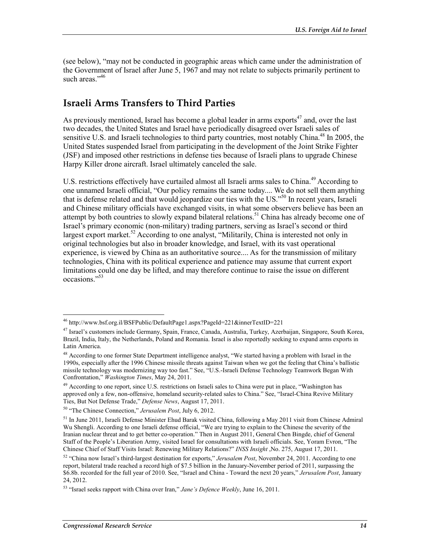(see below), "may not be conducted in geographic areas which came under the administration of the Government of Israel after June 5, 1967 and may not relate to subjects primarily pertinent to such areas<sup>"46</sup>

### **Israeli Arms Transfers to Third Parties**

As previously mentioned, Israel has become a global leader in arms exports<sup>47</sup> and, over the last two decades, the United States and Israel have periodically disagreed over Israeli sales of sensitive U.S. and Israeli technologies to third party countries, most notably China.<sup>48</sup> In 2005, the United States suspended Israel from participating in the development of the Joint Strike Fighter (JSF) and imposed other restrictions in defense ties because of Israeli plans to upgrade Chinese Harpy Killer drone aircraft. Israel ultimately canceled the sale.

U.S. restrictions effectively have curtailed almost all Israeli arms sales to China.<sup>49</sup> According to one unnamed Israeli official, "Our policy remains the same today.... We do not sell them anything that is defense related and that would jeopardize our ties with the US."<sup>50</sup> In recent years, Israeli and Chinese military officials have exchanged visits, in what some observers believe has been an attempt by both countries to slowly expand bilateral relations.<sup>51</sup> China has already become one of Israel's primary economic (non-military) trading partners, serving as Israel's second or third largest export market.<sup>52</sup> According to one analyst, "Militarily, China is interested not only in original technologies but also in broader knowledge, and Israel, with its vast operational experience, is viewed by China as an authoritative source.... As for the transmission of military technologies, China with its political experience and patience may assume that current export limitations could one day be lifted, and may therefore continue to raise the issue on different occasions<sup>"53</sup>

<sup>46</sup> http://www.bsf.org.il/BSFPublic/DefaultPage1.aspx?PageId=221&innerTextID=221

<sup>47</sup> Israel's customers include Germany, Spain, France, Canada, Australia, Turkey, Azerbaijan, Singapore, South Korea, Brazil, India, Italy, the Netherlands, Poland and Romania. Israel is also reportedly seeking to expand arms exports in Latin America.

<sup>48</sup> According to one former State Department intelligence analyst, "We started having a problem with Israel in the 1990s, especially after the 1996 Chinese missile threats against Taiwan when we got the feeling that China's ballistic missile technology was modernizing way too fast." See, "U.S.-Israeli Defense Technology Teamwork Began With Confrontation," *Washington Times*, May 24, 2011.

 $^{49}$  According to one report, since U.S. restrictions on Israeli sales to China were put in place, "Washington has approved only a few, non-offensive, homeland security-related sales to China." See, "Israel-China Revive Military Ties, But Not Defense Trade," *Defense News*, August 17, 2011.

<sup>50 &</sup>quot;The Chinese Connection," *Jerusalem Post*, July 6, 2012.

<sup>&</sup>lt;sup>51</sup> In June 2011, Israeli Defense Minister Ehud Barak visited China, following a May 2011 visit from Chinese Admiral Wu Shengli. According to one Israeli defense official, "We are trying to explain to the Chinese the severity of the Iranian nuclear threat and to get better co-operation." Then in August 2011, General Chen Bingde, chief of General Staff of the People's Liberation Army, visited Israel for consultations with Israeli officials. See, Yoram Evron, "The Chinese Chief of Staff Visits Israel: Renewing Military Relations?" *INSS Insight* ,No. 275, August 17, 2011.

<sup>52 &</sup>quot;China now Israel's third-largest destination for exports," *Jerusalem Post*, November 24, 2011. According to one report, bilateral trade reached a record high of \$7.5 billion in the January-November period of 2011, surpassing the \$6.8b. recorded for the full year of 2010. See, "Israel and China - Toward the next 20 years," *Jerusalem Post*, January 24, 2012.

<sup>53 &</sup>quot;Israel seeks rapport with China over Iran," *Jane's Defence Weekly*, June 16, 2011.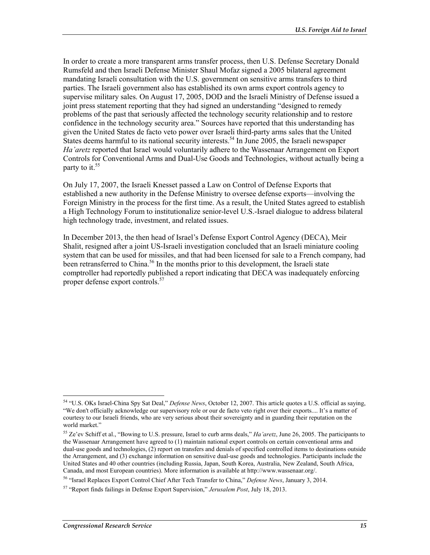In order to create a more transparent arms transfer process, then U.S. Defense Secretary Donald Rumsfeld and then Israeli Defense Minister Shaul Mofaz signed a 2005 bilateral agreement mandating Israeli consultation with the U.S. government on sensitive arms transfers to third parties. The Israeli government also has established its own arms export controls agency to supervise military sales. On August 17, 2005, DOD and the Israeli Ministry of Defense issued a joint press statement reporting that they had signed an understanding "designed to remedy problems of the past that seriously affected the technology security relationship and to restore confidence in the technology security area." Sources have reported that this understanding has given the United States de facto veto power over Israeli third-party arms sales that the United States deems harmful to its national security interests.<sup>54</sup> In June 2005, the Israeli newspaper *Ha'aretz* reported that Israel would voluntarily adhere to the Wassenaar Arrangement on Export Controls for Conventional Arms and Dual-Use Goods and Technologies, without actually being a party to it.<sup>55</sup>

On July 17, 2007, the Israeli Knesset passed a Law on Control of Defense Exports that established a new authority in the Defense Ministry to oversee defense exports—involving the Foreign Ministry in the process for the first time. As a result, the United States agreed to establish a High Technology Forum to institutionalize senior-level U.S.-Israel dialogue to address bilateral high technology trade, investment, and related issues.

In December 2013, the then head of Israel's Defense Export Control Agency (DECA), Meir Shalit, resigned after a joint US-Israeli investigation concluded that an Israeli miniature cooling system that can be used for missiles, and that had been licensed for sale to a French company, had been retransferred to China.<sup>56</sup> In the months prior to this development, the Israeli state comptroller had reportedly published a report indicating that DECA was inadequately enforcing proper defense export controls.<sup>57</sup>

<sup>54 &</sup>quot;U.S. OKs Israel-China Spy Sat Deal," *Defense News*, October 12, 2007. This article quotes a U.S. official as saying, "We don't officially acknowledge our supervisory role or our de facto veto right over their exports.... It's a matter of courtesy to our Israeli friends, who are very serious about their sovereignty and in guarding their reputation on the world market."

<sup>55</sup> Ze'ev Schiff et al., "Bowing to U.S. pressure, Israel to curb arms deals," *Ha'aretz*, June 26, 2005. The participants to the Wassenaar Arrangement have agreed to (1) maintain national export controls on certain conventional arms and dual-use goods and technologies, (2) report on transfers and denials of specified controlled items to destinations outside the Arrangement, and (3) exchange information on sensitive dual-use goods and technologies. Participants include the United States and 40 other countries (including Russia, Japan, South Korea, Australia, New Zealand, South Africa, Canada, and most European countries). More information is available at http://www.wassenaar.org/.

<sup>56 &</sup>quot;Israel Replaces Export Control Chief After Tech Transfer to China," *Defense News*, January 3, 2014.

<sup>57 &</sup>quot;Report finds failings in Defense Export Supervision," *Jerusalem Post*, July 18, 2013.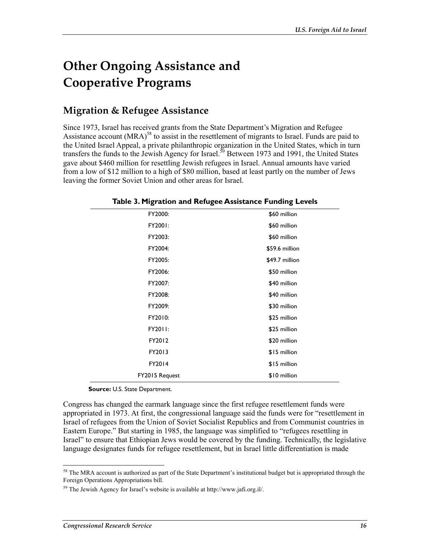## **Other Ongoing Assistance and Cooperative Programs**

### **Migration & Refugee Assistance**

Since 1973, Israel has received grants from the State Department's Migration and Refugee Assistance account  $(MRA)^{58}$  to assist in the resettlement of migrants to Israel. Funds are paid to the United Israel Appeal, a private philanthropic organization in the United States, which in turn transfers the funds to the Jewish Agency for Israel.<sup>59</sup> Between 1973 and 1991, the United States gave about \$460 million for resettling Jewish refugees in Israel. Annual amounts have varied from a low of \$12 million to a high of \$80 million, based at least partly on the number of Jews leaving the former Soviet Union and other areas for Israel.

| \$60 million   |
|----------------|
| \$60 million   |
| \$60 million   |
| \$59.6 million |
| \$49.7 million |
| \$50 million   |
| \$40 million   |
| \$40 million   |
| \$30 million   |
| \$25 million   |
| \$25 million   |
| \$20 million   |
| \$15 million   |
| \$15 million   |
| \$10 million   |
|                |

**Table 3. Migration and Refugee Assistance Funding Levels** 

**Source:** U.S. State Department.

Congress has changed the earmark language since the first refugee resettlement funds were appropriated in 1973. At first, the congressional language said the funds were for "resettlement in Israel of refugees from the Union of Soviet Socialist Republics and from Communist countries in Eastern Europe." But starting in 1985, the language was simplified to "refugees resettling in Israel" to ensure that Ethiopian Jews would be covered by the funding. Technically, the legislative language designates funds for refugee resettlement, but in Israel little differentiation is made

<sup>&</sup>lt;sup>58</sup> The MRA account is authorized as part of the State Department's institutional budget but is appropriated through the Foreign Operations Appropriations bill.

 $59$  The Jewish Agency for Israel's website is available at http://www.jafi.org.il/.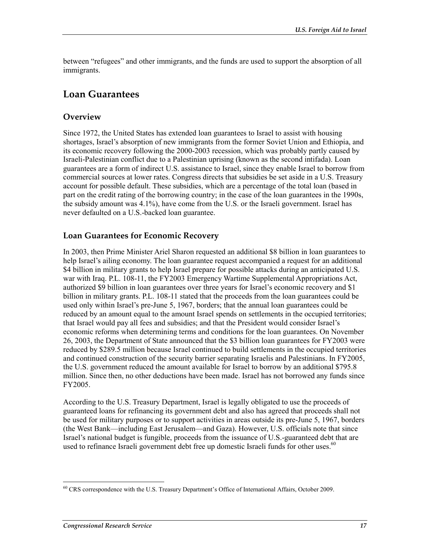between "refugees" and other immigrants, and the funds are used to support the absorption of all immigrants.

### **Loan Guarantees**

#### **Overview**

Since 1972, the United States has extended loan guarantees to Israel to assist with housing shortages, Israel's absorption of new immigrants from the former Soviet Union and Ethiopia, and its economic recovery following the 2000-2003 recession, which was probably partly caused by Israeli-Palestinian conflict due to a Palestinian uprising (known as the second intifada). Loan guarantees are a form of indirect U.S. assistance to Israel, since they enable Israel to borrow from commercial sources at lower rates. Congress directs that subsidies be set aside in a U.S. Treasury account for possible default. These subsidies, which are a percentage of the total loan (based in part on the credit rating of the borrowing country; in the case of the loan guarantees in the 1990s, the subsidy amount was 4.1%), have come from the U.S. or the Israeli government. Israel has never defaulted on a U.S.-backed loan guarantee.

#### **Loan Guarantees for Economic Recovery**

In 2003, then Prime Minister Ariel Sharon requested an additional \$8 billion in loan guarantees to help Israel's ailing economy. The loan guarantee request accompanied a request for an additional \$4 billion in military grants to help Israel prepare for possible attacks during an anticipated U.S. war with Iraq. P.L. 108-11, the FY2003 Emergency Wartime Supplemental Appropriations Act, authorized \$9 billion in loan guarantees over three years for Israel's economic recovery and \$1 billion in military grants. P.L. 108-11 stated that the proceeds from the loan guarantees could be used only within Israel's pre-June 5, 1967, borders; that the annual loan guarantees could be reduced by an amount equal to the amount Israel spends on settlements in the occupied territories; that Israel would pay all fees and subsidies; and that the President would consider Israel's economic reforms when determining terms and conditions for the loan guarantees. On November 26, 2003, the Department of State announced that the \$3 billion loan guarantees for FY2003 were reduced by \$289.5 million because Israel continued to build settlements in the occupied territories and continued construction of the security barrier separating Israelis and Palestinians. In FY2005, the U.S. government reduced the amount available for Israel to borrow by an additional \$795.8 million. Since then, no other deductions have been made. Israel has not borrowed any funds since FY2005.

According to the U.S. Treasury Department, Israel is legally obligated to use the proceeds of guaranteed loans for refinancing its government debt and also has agreed that proceeds shall not be used for military purposes or to support activities in areas outside its pre-June 5, 1967, borders (the West Bank—including East Jerusalem—and Gaza). However, U.S. officials note that since Israel's national budget is fungible, proceeds from the issuance of U.S.-guaranteed debt that are used to refinance Israeli government debt free up domestic Israeli funds for other uses. $60$ 

<sup>&</sup>lt;u>.</u>  $60$  CRS correspondence with the U.S. Treasury Department's Office of International Affairs, October 2009.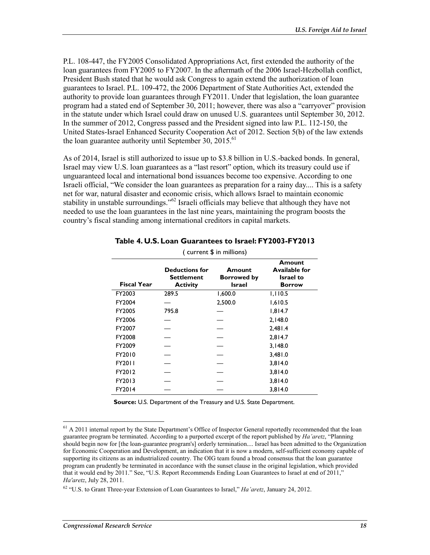P.L. 108-447, the FY2005 Consolidated Appropriations Act, first extended the authority of the loan guarantees from FY2005 to FY2007. In the aftermath of the 2006 Israel-Hezbollah conflict, President Bush stated that he would ask Congress to again extend the authorization of loan guarantees to Israel. P.L. 109-472, the 2006 Department of State Authorities Act, extended the authority to provide loan guarantees through FY2011. Under that legislation, the loan guarantee program had a stated end of September 30, 2011; however, there was also a "carryover" provision in the statute under which Israel could draw on unused U.S. guarantees until September 30, 2012. In the summer of 2012, Congress passed and the President signed into law P.L. 112-150, the United States-Israel Enhanced Security Cooperation Act of 2012. Section 5(b) of the law extends the loan guarantee authority until September 30,  $2015<sup>61</sup>$ 

As of 2014, Israel is still authorized to issue up to \$3.8 billion in U.S.-backed bonds. In general, Israel may view U.S. loan guarantees as a "last resort" option, which its treasury could use if unguaranteed local and international bond issuances become too expensive. According to one Israeli official, "We consider the loan guarantees as preparation for a rainy day.... This is a safety net for war, natural disaster and economic crisis, which allows Israel to maintain economic stability in unstable surroundings."<sup>62</sup> Israeli officials may believe that although they have not needed to use the loan guarantees in the last nine years, maintaining the program boosts the country's fiscal standing among international creditors in capital markets.

| $($ current $\$$ in millions) |                                                               |                                               |                                                                     |  |  |  |
|-------------------------------|---------------------------------------------------------------|-----------------------------------------------|---------------------------------------------------------------------|--|--|--|
| <b>Fiscal Year</b>            | <b>Deductions for</b><br><b>Settlement</b><br><b>Activity</b> | Amount<br><b>Borrowed by</b><br><b>Israel</b> | Amount<br><b>Available for</b><br><b>Israel</b> to<br><b>Borrow</b> |  |  |  |
| FY2003                        | 289.5                                                         | 1,600.0                                       | 1,110.5                                                             |  |  |  |
| FY2004                        |                                                               | 2,500.0                                       | 1,610.5                                                             |  |  |  |
| FY2005                        | 795.8                                                         |                                               | 1,814.7                                                             |  |  |  |
| FY2006                        |                                                               |                                               | 2,148.0                                                             |  |  |  |
| FY2007                        |                                                               |                                               | 2,481.4                                                             |  |  |  |
| FY2008                        |                                                               |                                               | 2,814.7                                                             |  |  |  |
| FY2009                        |                                                               |                                               | 3,148.0                                                             |  |  |  |
| FY2010                        |                                                               |                                               | 3,481.0                                                             |  |  |  |
| FY2011                        |                                                               |                                               | 3,814.0                                                             |  |  |  |
| FY2012                        |                                                               |                                               | 3,814.0                                                             |  |  |  |
| FY2013                        |                                                               |                                               | 3,814.0                                                             |  |  |  |
| FY2014                        |                                                               |                                               | 3,814.0                                                             |  |  |  |

#### **Table 4. U.S. Loan Guarantees to Israel: FY2003-FY2013**

**Source:** U.S. Department of the Treasury and U.S. State Department.

<sup>&</sup>lt;sup>61</sup> A 2011 internal report by the State Department's Office of Inspector General reportedly recommended that the loan guarantee program be terminated. According to a purported excerpt of the report published by *Ha'aretz*, "Planning should begin now for [the loan-guarantee program's] orderly termination.... Israel has been admitted to the Organization for Economic Cooperation and Development, an indication that it is now a modern, self-sufficient economy capable of supporting its citizens as an industrialized country. The OIG team found a broad consensus that the loan guarantee program can prudently be terminated in accordance with the sunset clause in the original legislation, which provided that it would end by 2011." See, "U.S. Report Recommends Ending Loan Guarantees to Israel at end of 2011," *Ha'aretz*, July 28, 2011.

<sup>62 &</sup>quot;U.S. to Grant Three-year Extension of Loan Guarantees to Israel," *Ha'aretz*, January 24, 2012.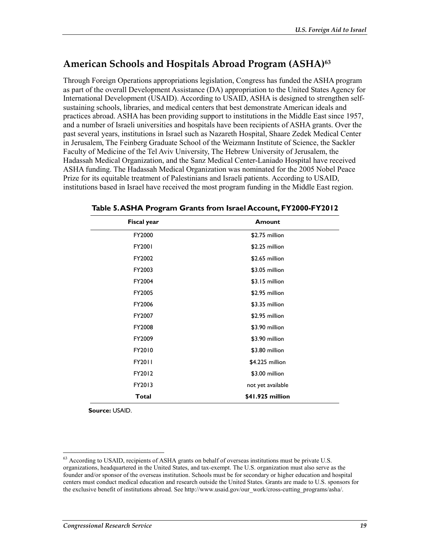## **American Schools and Hospitals Abroad Program (ASHA)63**

Through Foreign Operations appropriations legislation, Congress has funded the ASHA program as part of the overall Development Assistance (DA) appropriation to the United States Agency for International Development (USAID). According to USAID, ASHA is designed to strengthen selfsustaining schools, libraries, and medical centers that best demonstrate American ideals and practices abroad. ASHA has been providing support to institutions in the Middle East since 1957, and a number of Israeli universities and hospitals have been recipients of ASHA grants. Over the past several years, institutions in Israel such as Nazareth Hospital, Shaare Zedek Medical Center in Jerusalem, The Feinberg Graduate School of the Weizmann Institute of Science, the Sackler Faculty of Medicine of the Tel Aviv University, The Hebrew University of Jerusalem, the Hadassah Medical Organization, and the Sanz Medical Center-Laniado Hospital have received ASHA funding. The Hadassah Medical Organization was nominated for the 2005 Nobel Peace Prize for its equitable treatment of Palestinians and Israeli patients. According to USAID, institutions based in Israel have received the most program funding in the Middle East region.

| Fiscal year | <b>Amount</b>     |
|-------------|-------------------|
| FY2000      | \$2.75 million    |
| FY2001      | \$2.25 million    |
| FY2002      | \$2.65 million    |
| FY2003      | \$3.05 million    |
| FY2004      | \$3.15 million    |
| FY2005      | \$2.95 million    |
| FY2006      | \$3.35 million    |
| FY2007      | \$2.95 million    |
| FY2008      | \$3.90 million    |
| FY2009      | \$3.90 million    |
| FY2010      | \$3.80 million    |
| FY2011      | \$4.225 million   |
| FY2012      | \$3.00 million    |
| FY2013      | not yet available |
| Total       | \$41.925 million  |

**Table 5. ASHA Program Grants from Israel Account, FY2000-FY2012** 

**Source:** USAID.

 $63$  According to USAID, recipients of ASHA grants on behalf of overseas institutions must be private U.S. organizations, headquartered in the United States, and tax-exempt. The U.S. organization must also serve as the founder and/or sponsor of the overseas institution. Schools must be for secondary or higher education and hospital centers must conduct medical education and research outside the United States. Grants are made to U.S. sponsors for the exclusive benefit of institutions abroad. See http://www.usaid.gov/our\_work/cross-cutting\_programs/asha/.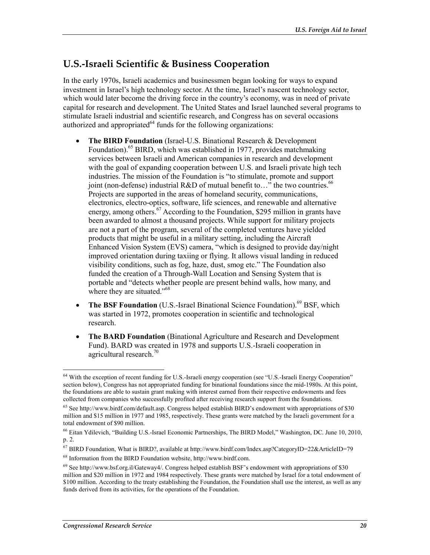## **U.S.-Israeli Scientific & Business Cooperation**

In the early 1970s, Israeli academics and businessmen began looking for ways to expand investment in Israel's high technology sector. At the time, Israel's nascent technology sector, which would later become the driving force in the country's economy, was in need of private capital for research and development. The United States and Israel launched several programs to stimulate Israeli industrial and scientific research, and Congress has on several occasions authorized and appropriated $^{64}$  funds for the following organizations:

- **The BIRD Foundation** (Israel-U.S. Binational Research & Development Foundation).65 BIRD, which was established in 1977, provides matchmaking services between Israeli and American companies in research and development with the goal of expanding cooperation between U.S. and Israeli private high tech industries. The mission of the Foundation is "to stimulate, promote and support joint (non-defense) industrial R&D of mutual benefit to..." the two countries.<sup>66</sup> Projects are supported in the areas of homeland security, communications, electronics, electro-optics, software, life sciences, and renewable and alternative energy, among others.<sup>67</sup> According to the Foundation, \$295 million in grants have been awarded to almost a thousand projects. While support for military projects are not a part of the program, several of the completed ventures have yielded products that might be useful in a military setting, including the Aircraft Enhanced Vision System (EVS) camera, "which is designed to provide day/night improved orientation during taxiing or flying. It allows visual landing in reduced visibility conditions, such as fog, haze, dust, smog etc." The Foundation also funded the creation of a Through-Wall Location and Sensing System that is portable and "detects whether people are present behind walls, how many, and where they are situated."<sup>68</sup>
- **The BSF Foundation** (U.S.-Israel Binational Science Foundation).<sup>69</sup> BSF, which was started in 1972, promotes cooperation in scientific and technological research.
- **The BARD Foundation** (Binational Agriculture and Research and Development Fund). BARD was created in 1978 and supports U.S.-Israeli cooperation in agricultural research.<sup>70</sup>

<sup>1</sup> <sup>64</sup> With the exception of recent funding for U.S.-Israeli energy cooperation (see "U.S.-Israeli Energy Cooperation" section below), Congress has not appropriated funding for binational foundations since the mid-1980s. At this point, the foundations are able to sustain grant making with interest earned from their respective endowments and fees collected from companies who successfully profited after receiving research support from the foundations.

<sup>65</sup> See http://www.birdf.com/default.asp. Congress helped establish BIRD's endowment with appropriations of \$30 million and \$15 million in 1977 and 1985, respectively. These grants were matched by the Israeli government for a total endowment of \$90 million.

<sup>66</sup> Eitan Ydilevich, "Building U.S.-Israel Economic Partnerships, The BIRD Model," Washington, DC. June 10, 2010, p. 2.

<sup>67</sup> BIRD Foundation, What is BIRD?, available at http://www.birdf.com/Index.asp?CategoryID=22&ArticleID=79

<sup>68</sup> Information from the BIRD Foundation website, http://www.birdf.com.

<sup>&</sup>lt;sup>69</sup> See http://www.bsf.org.il/Gateway4/. Congress helped establish BSF's endowment with appropriations of \$30 million and \$20 million in 1972 and 1984 respectively. These grants were matched by Israel for a total endowment of \$100 million. According to the treaty establishing the Foundation, the Foundation shall use the interest, as well as any funds derived from its activities, for the operations of the Foundation.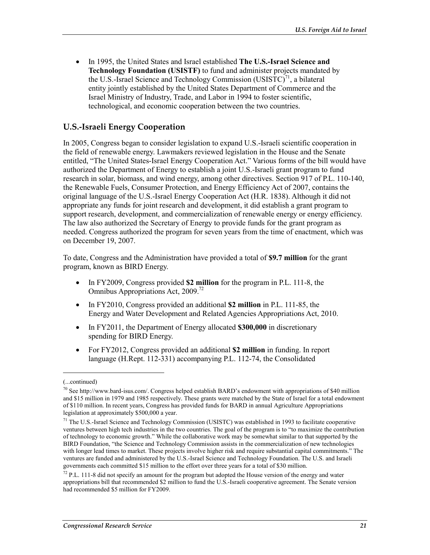• In 1995, the United States and Israel established **The U.S.-Israel Science and Technology Foundation (USISTF)** to fund and administer projects mandated by the U.S.-Israel Science and Technology Commission (USISTC)<sup>71</sup>, a bilateral entity jointly established by the United States Department of Commerce and the Israel Ministry of Industry, Trade, and Labor in 1994 to foster scientific, technological, and economic cooperation between the two countries.

#### **U.S.-Israeli Energy Cooperation**

In 2005, Congress began to consider legislation to expand U.S.-Israeli scientific cooperation in the field of renewable energy. Lawmakers reviewed legislation in the House and the Senate entitled, "The United States-Israel Energy Cooperation Act." Various forms of the bill would have authorized the Department of Energy to establish a joint U.S.-Israeli grant program to fund research in solar, biomass, and wind energy, among other directives. Section 917 of P.L. 110-140, the Renewable Fuels, Consumer Protection, and Energy Efficiency Act of 2007, contains the original language of the U.S.-Israel Energy Cooperation Act (H.R. 1838). Although it did not appropriate any funds for joint research and development, it did establish a grant program to support research, development, and commercialization of renewable energy or energy efficiency. The law also authorized the Secretary of Energy to provide funds for the grant program as needed. Congress authorized the program for seven years from the time of enactment, which was on December 19, 2007.

To date, Congress and the Administration have provided a total of **\$9.7 million** for the grant program, known as BIRD Energy.

- In FY2009, Congress provided **\$2 million** for the program in P.L. 111-8, the Omnibus Appropriations Act, 2009.<sup>72</sup>
- In FY2010, Congress provided an additional **\$2 million** in P.L. 111-85, the Energy and Water Development and Related Agencies Appropriations Act, 2010.
- In FY2011, the Department of Energy allocated **\$300,000** in discretionary spending for BIRD Energy.
- For FY2012, Congress provided an additional **\$2 million** in funding. In report language (H.Rept. 112-331) accompanying P.L. 112-74, the Consolidated

<sup>(...</sup>continued)

 $^{70}$  See http://www.bard-isus.com/. Congress helped establish BARD's endowment with appropriations of \$40 million and \$15 million in 1979 and 1985 respectively. These grants were matched by the State of Israel for a total endowment of \$110 million. In recent years, Congress has provided funds for BARD in annual Agriculture Appropriations legislation at approximately \$500,000 a year.

<sup>71</sup> The U.S.-Israel Science and Technology Commission (USISTC) was established in 1993 to facilitate cooperative ventures between high tech industries in the two countries. The goal of the program is to "to maximize the contribution of technology to economic growth." While the collaborative work may be somewhat similar to that supported by the BIRD Foundation, "the Science and Technology Commission assists in the commercialization of new technologies with longer lead times to market. These projects involve higher risk and require substantial capital commitments." The ventures are funded and administered by the U.S.-Israel Science and Technology Foundation. The U.S. and Israeli governments each committed \$15 million to the effort over three years for a total of \$30 million.

<sup>&</sup>lt;sup>72</sup> P.L. 111-8 did not specify an amount for the program but adopted the House version of the energy and water appropriations bill that recommended \$2 million to fund the U.S.-Israeli cooperative agreement. The Senate version had recommended \$5 million for FY2009.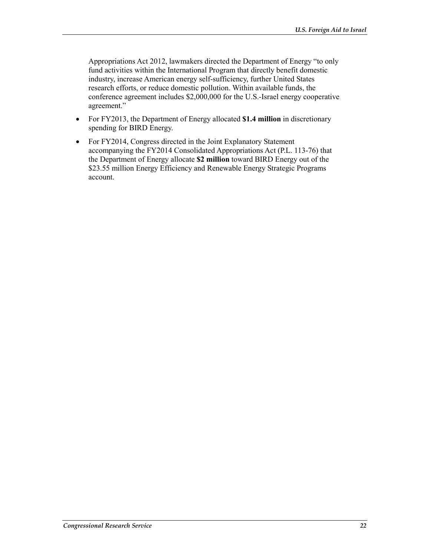Appropriations Act 2012, lawmakers directed the Department of Energy "to only fund activities within the International Program that directly benefit domestic industry, increase American energy self-sufficiency, further United States research efforts, or reduce domestic pollution. Within available funds, the conference agreement includes \$2,000,000 for the U.S.-Israel energy cooperative agreement."

- For FY2013, the Department of Energy allocated **\$1.4 million** in discretionary spending for BIRD Energy.
- For FY2014, Congress directed in the Joint Explanatory Statement accompanying the FY2014 Consolidated Appropriations Act (P.L. 113-76) that the Department of Energy allocate **\$2 million** toward BIRD Energy out of the \$23.55 million Energy Efficiency and Renewable Energy Strategic Programs account.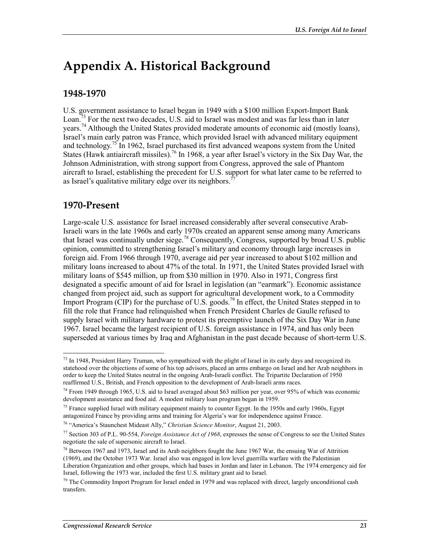# **Appendix A. Historical Background**

### **1948-1970**

U.S. government assistance to Israel began in 1949 with a \$100 million Export-Import Bank Loan.<sup>73</sup> For the next two decades, U.S. aid to Israel was modest and was far less than in later years.<sup>74</sup> Although the United States provided moderate amounts of economic aid (mostly loans), Israel's main early patron was France, which provided Israel with advanced military equipment and technology.<sup>75</sup> In 1962, Israel purchased its first advanced weapons system from the United States (Hawk antiaircraft missiles).<sup>76</sup> In 1968, a year after Israel's victory in the Six Day War, the Johnson Administration, with strong support from Congress, approved the sale of Phantom aircraft to Israel, establishing the precedent for U.S. support for what later came to be referred to as Israel's qualitative military edge over its neighbors.<sup>7</sup>

### **1970-Present**

Large-scale U.S. assistance for Israel increased considerably after several consecutive Arab-Israeli wars in the late 1960s and early 1970s created an apparent sense among many Americans that Israel was continually under siege.<sup>78</sup> Consequently, Congress, supported by broad U.S. public opinion, committed to strengthening Israel's military and economy through large increases in foreign aid. From 1966 through 1970, average aid per year increased to about \$102 million and military loans increased to about 47% of the total. In 1971, the United States provided Israel with military loans of \$545 million, up from \$30 million in 1970. Also in 1971, Congress first designated a specific amount of aid for Israel in legislation (an "earmark"). Economic assistance changed from project aid, such as support for agricultural development work, to a Commodity Import Program (CIP) for the purchase of U.S. goods.<sup>79</sup> In effect, the United States stepped in to fill the role that France had relinquished when French President Charles de Gaulle refused to supply Israel with military hardware to protest its preemptive launch of the Six Day War in June 1967. Israel became the largest recipient of U.S. foreign assistance in 1974, and has only been superseded at various times by Iraq and Afghanistan in the past decade because of short-term U.S.

76 "America's Staunchest Mideast Ally," *Christian Science Monitor*, August 21, 2003.

<sup>1</sup>  $73$  In 1948, President Harry Truman, who sympathized with the plight of Israel in its early days and recognized its statehood over the objections of some of his top advisors, placed an arms embargo on Israel and her Arab neighbors in order to keep the United States neutral in the ongoing Arab-Israeli conflict. The Tripartite Declaration of 1950 reaffirmed U.S., British, and French opposition to the development of Arab-Israeli arms races.

 $74$  From 1949 through 1965, U.S. aid to Israel averaged about \$63 million per year, over 95% of which was economic development assistance and food aid. A modest military loan program began in 1959.

<sup>&</sup>lt;sup>75</sup> France supplied Israel with military equipment mainly to counter Egypt. In the 1950s and early 1960s, Egypt antagonized France by providing arms and training for Algeria's war for independence against France.

<sup>77</sup> Section 303 of P.L. 90-554, *Foreign Assistance Act of 1968*, expresses the sense of Congress to see the United States negotiate the sale of supersonic aircraft to Israel.

<sup>78</sup> Between 1967 and 1973, Israel and its Arab neighbors fought the June 1967 War, the ensuing War of Attrition (1969), and the October 1973 War. Israel also was engaged in low level guerrilla warfare with the Palestinian Liberation Organization and other groups, which had bases in Jordan and later in Lebanon. The 1974 emergency aid for Israel, following the 1973 war, included the first U.S. military grant aid to Israel.

 $79$  The Commodity Import Program for Israel ended in 1979 and was replaced with direct, largely unconditional cash transfers.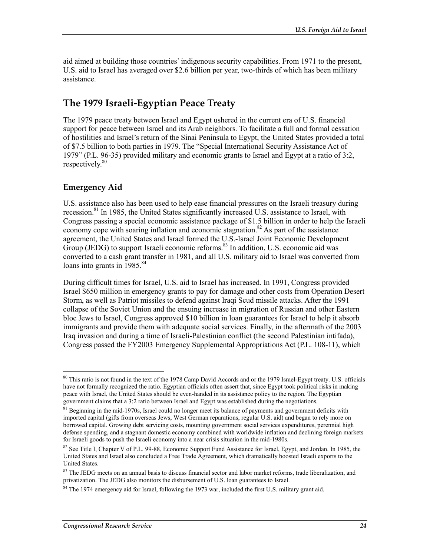aid aimed at building those countries' indigenous security capabilities. From 1971 to the present, U.S. aid to Israel has averaged over \$2.6 billion per year, two-thirds of which has been military assistance.

## **The 1979 Israeli-Egyptian Peace Treaty**

The 1979 peace treaty between Israel and Egypt ushered in the current era of U.S. financial support for peace between Israel and its Arab neighbors. To facilitate a full and formal cessation of hostilities and Israel's return of the Sinai Peninsula to Egypt, the United States provided a total of \$7.5 billion to both parties in 1979. The "Special International Security Assistance Act of 1979" (P.L. 96-35) provided military and economic grants to Israel and Egypt at a ratio of 3:2, respectively.<sup>80</sup>

#### **Emergency Aid**

U.S. assistance also has been used to help ease financial pressures on the Israeli treasury during recession.<sup>81</sup> In 1985, the United States significantly increased U.S. assistance to Israel, with Congress passing a special economic assistance package of \$1.5 billion in order to help the Israeli economy cope with soaring inflation and economic stagnation.<sup>82</sup> As part of the assistance agreement, the United States and Israel formed the U.S.-Israel Joint Economic Development Group (JEDG) to support Israeli economic reforms.<sup>83</sup> In addition, U.S. economic aid was converted to a cash grant transfer in 1981, and all U.S. military aid to Israel was converted from loans into grants in  $1985$ <sup>84</sup>

During difficult times for Israel, U.S. aid to Israel has increased. In 1991, Congress provided Israel \$650 million in emergency grants to pay for damage and other costs from Operation Desert Storm, as well as Patriot missiles to defend against Iraqi Scud missile attacks. After the 1991 collapse of the Soviet Union and the ensuing increase in migration of Russian and other Eastern bloc Jews to Israel, Congress approved \$10 billion in loan guarantees for Israel to help it absorb immigrants and provide them with adequate social services. Finally, in the aftermath of the 2003 Iraq invasion and during a time of Israeli-Palestinian conflict (the second Palestinian intifada), Congress passed the FY2003 Emergency Supplemental Appropriations Act (P.L. 108-11), which

<sup>1</sup>  $80$  This ratio is not found in the text of the 1978 Camp David Accords and or the 1979 Israel-Egypt treaty. U.S. officials have not formally recognized the ratio. Egyptian officials often assert that, since Egypt took political risks in making peace with Israel, the United States should be even-handed in its assistance policy to the region. The Egyptian government claims that a 3:2 ratio between Israel and Egypt was established during the negotiations.

<sup>&</sup>lt;sup>81</sup> Beginning in the mid-1970s, Israel could no longer meet its balance of payments and government deficits with imported capital (gifts from overseas Jews, West German reparations, regular U.S. aid) and began to rely more on borrowed capital. Growing debt servicing costs, mounting government social services expenditures, perennial high defense spending, and a stagnant domestic economy combined with worldwide inflation and declining foreign markets for Israeli goods to push the Israeli economy into a near crisis situation in the mid-1980s.

<sup>&</sup>lt;sup>82</sup> See Title I, Chapter V of P.L. 99-88, Economic Support Fund Assistance for Israel, Egypt, and Jordan. In 1985, the United States and Israel also concluded a Free Trade Agreement, which dramatically boosted Israeli exports to the United States.

<sup>&</sup>lt;sup>83</sup> The JEDG meets on an annual basis to discuss financial sector and labor market reforms, trade liberalization, and privatization. The JEDG also monitors the disbursement of U.S. loan guarantees to Israel.

<sup>&</sup>lt;sup>84</sup> The 1974 emergency aid for Israel, following the 1973 war, included the first U.S. military grant aid.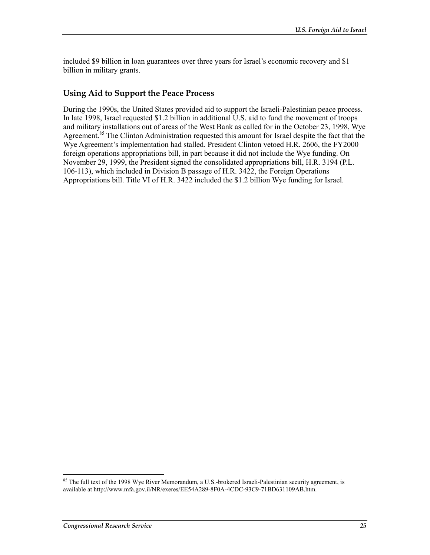included \$9 billion in loan guarantees over three years for Israel's economic recovery and \$1 billion in military grants.

#### **Using Aid to Support the Peace Process**

During the 1990s, the United States provided aid to support the Israeli-Palestinian peace process. In late 1998, Israel requested \$1.2 billion in additional U.S. aid to fund the movement of troops and military installations out of areas of the West Bank as called for in the October 23, 1998, Wye Agreement.<sup>85</sup> The Clinton Administration requested this amount for Israel despite the fact that the Wye Agreement's implementation had stalled. President Clinton vetoed H.R. 2606, the FY2000 foreign operations appropriations bill, in part because it did not include the Wye funding. On November 29, 1999, the President signed the consolidated appropriations bill, H.R. 3194 (P.L. 106-113), which included in Division B passage of H.R. 3422, the Foreign Operations Appropriations bill. Title VI of H.R. 3422 included the \$1.2 billion Wye funding for Israel.

<sup>&</sup>lt;sup>85</sup> The full text of the 1998 Wye River Memorandum, a U.S.-brokered Israeli-Palestinian security agreement, is available at http://www.mfa.gov.il/NR/exeres/EE54A289-8F0A-4CDC-93C9-71BD631109AB.htm.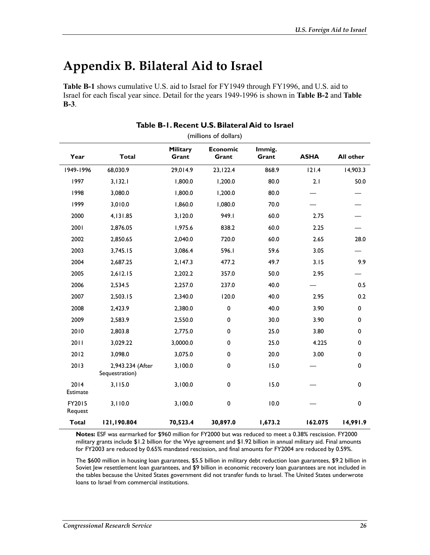## **Appendix B. Bilateral Aid to Israel**

**Table B-1** shows cumulative U.S. aid to Israel for FY1949 through FY1996, and U.S. aid to Israel for each fiscal year since. Detail for the years 1949-1996 is shown in **Table B-2** and **Table B-3**.

| (millions of dollars) |                                    |                          |                          |                 |             |                  |  |
|-----------------------|------------------------------------|--------------------------|--------------------------|-----------------|-------------|------------------|--|
| Year                  | <b>Total</b>                       | <b>Military</b><br>Grant | <b>Economic</b><br>Grant | Immig.<br>Grant | <b>ASHA</b> | <b>All other</b> |  |
| 1949-1996             | 68,030.9                           | 29,014.9                 | 23, 122.4                | 868.9           | 121.4       | 14,903.3         |  |
| 1997                  | 3,132.1                            | 1,800.0                  | 1,200.0                  | 80.0            | 2.1         | 50.0             |  |
| 1998                  | 3,080.0                            | 1,800.0                  | 1,200.0                  | 80.0            |             |                  |  |
| 1999                  | 3,010.0                            | 1,860.0                  | 1,080.0                  | 70.0            |             |                  |  |
| 2000                  | 4,131.85                           | 3,120.0                  | 949.I                    | 60.0            | 2.75        |                  |  |
| 2001                  | 2,876.05                           | 1,975.6                  | 838.2                    | 60.0            | 2.25        |                  |  |
| 2002                  | 2,850.65                           | 2,040.0                  | 720.0                    | 60.0            | 2.65        | 28.0             |  |
| 2003                  | 3,745.15                           | 3,086.4                  | 596.I                    | 59.6            | 3.05        |                  |  |
| 2004                  | 2,687.25                           | 2,147.3                  | 477.2                    | 49.7            | 3.15        | 9.9              |  |
| 2005                  | 2,612.15                           | 2,202.2                  | 357.0                    | 50.0            | 2.95        |                  |  |
| 2006                  | 2,534.5                            | 2,257.0                  | 237.0                    | 40.0            |             | 0.5              |  |
| 2007                  | 2,503.15                           | 2,340.0                  | 120.0                    | 40.0            | 2.95        | 0.2              |  |
| 2008                  | 2,423.9                            | 2,380.0                  | $\pmb{0}$                | 40.0            | 3.90        | $\pmb{0}$        |  |
| 2009                  | 2,583.9                            | 2,550.0                  | $\mathbf 0$              | 30.0            | 3.90        | 0                |  |
| 2010                  | 2,803.8                            | 2,775.0                  | $\mathbf 0$              | 25.0            | 3.80        | 0                |  |
| 2011                  | 3,029.22                           | 3,0000.0                 | $\pmb{0}$                | 25.0            | 4.225       | $\pmb{0}$        |  |
| 2012                  | 3,098.0                            | 3,075.0                  | $\pmb{0}$                | 20.0            | 3.00        | $\pmb{0}$        |  |
| 2013                  | 2,943.234 (After<br>Sequestration) | 3,100.0                  | 0                        | 15.0            |             | 0                |  |
| 2014<br>Estimate      | 3,115.0                            | 3,100.0                  | $\mathbf 0$              | 15.0            |             | 0                |  |
| FY2015<br>Request     | 3,110.0                            | 3,100.0                  | 0                        | 10.0            |             | 0                |  |
| <b>Total</b>          | 121,190.804                        | 70,523.4                 | 30,897.0                 | 1,673.2         | 162.075     | 14,991.9         |  |

**Table B-1. Recent U.S. Bilateral Aid to Israel**  (millions of dollars)

**Notes:** ESF was earmarked for \$960 million for FY2000 but was reduced to meet a 0.38% rescission. FY2000 military grants include \$1.2 billion for the Wye agreement and \$1.92 billion in annual military aid. Final amounts for FY2003 are reduced by 0.65% mandated rescission, and final amounts for FY2004 are reduced by 0.59%.

The \$600 million in housing loan guarantees, \$5.5 billion in military debt reduction loan guarantees, \$9.2 billion in Soviet Jew resettlement loan guarantees, and \$9 billion in economic recovery loan guarantees are not included in the tables because the United States government did not transfer funds to Israel. The United States underwrote loans to Israel from commercial institutions.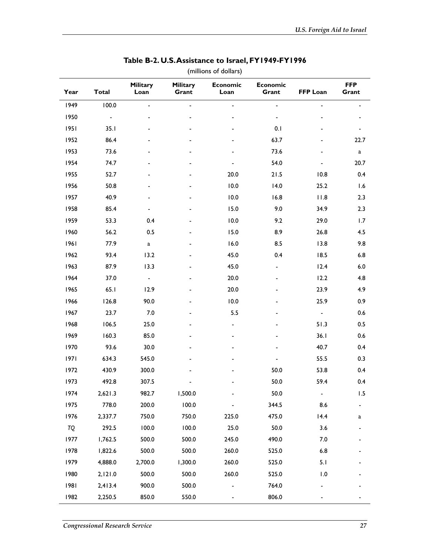| (millions of dollars) |                |                          |                              |                          |                          |                          |                     |
|-----------------------|----------------|--------------------------|------------------------------|--------------------------|--------------------------|--------------------------|---------------------|
| Year                  | <b>Total</b>   | Military<br>Loan         | <b>Military</b><br>Grant     | <b>Economic</b><br>Loan  | Economic<br>Grant        | FFP Loan                 | <b>FFP</b><br>Grant |
| 1949                  | 100.0          | $\overline{a}$           | $\overline{a}$               | $\overline{a}$           | $\overline{a}$           | $\overline{a}$           |                     |
| 1950                  | $\overline{a}$ |                          | $\qquad \qquad \blacksquare$ |                          | $\overline{\phantom{a}}$ | $\overline{\phantom{a}}$ |                     |
| 1951                  | 35.1           |                          |                              |                          | 0.1                      |                          |                     |
| 1952                  | 86.4           |                          |                              |                          | 63.7                     |                          | 22.7                |
| 1953                  | 73.6           |                          |                              |                          | 73.6                     |                          | $\mathbf{a}$        |
| 1954                  | 74.7           | -                        |                              | $\overline{\phantom{0}}$ | 54.0                     | $\blacksquare$           | 20.7                |
| 1955                  | 52.7           |                          |                              | 20.0                     | 21.5                     | 10.8                     | 0.4                 |
| 1956                  | 50.8           |                          |                              | 10.0                     | 14.0                     | 25.2                     | 1.6                 |
| 1957                  | 40.9           | $\overline{a}$           |                              | 10.0                     | 16.8                     | 11.8                     | 2.3                 |
| 1958                  | 85.4           | $\overline{\phantom{0}}$ |                              | 15.0                     | 9.0                      | 34.9                     | 2.3                 |
| 1959                  | 53.3           | 0.4                      |                              | 10.0                     | 9.2                      | 29.0                     | 1.7                 |
| 1960                  | 56.2           | 0.5                      |                              | 15.0                     | 8.9                      | 26.8                     | 4.5                 |
| 1961                  | 77.9           | $\mathbf{a}$             | $\blacksquare$               | 16.0                     | 8.5                      | 13.8                     | 9.8                 |
| 1962                  | 93.4           | 13.2                     | $\blacksquare$               | 45.0                     | 0.4                      | 18.5                     | 6.8                 |
| 1963                  | 87.9           | 13.3                     |                              | 45.0                     | ٠                        | 12.4                     | $6.0\,$             |
| 1964                  | 37.0           | $\blacksquare$           | $\blacksquare$               | 20.0                     | $\overline{\phantom{0}}$ | 12.2                     | 4.8                 |
| 1965                  | 65.1           | 12.9                     | $\blacksquare$               | 20.0                     | $\overline{\phantom{0}}$ | 23.9                     | 4.9                 |
| 1966                  | 126.8          | 90.0                     |                              | 10.0                     | -                        | 25.9                     | 0.9                 |
| 1967                  | 23.7           | $7.0$                    | $\blacksquare$               | 5.5                      |                          | $\sim$                   | 0.6                 |
| 1968                  | 106.5          | 25.0                     |                              | $\overline{\phantom{0}}$ |                          | 51.3                     | $0.5\,$             |
| 1969                  | 160.3          | 85.0                     |                              | $\overline{\phantom{0}}$ |                          | 36.1                     | 0.6                 |
| 1970                  | 93.6           | 30.0                     |                              |                          |                          | 40.7                     | 0.4                 |
| 1971                  | 634.3          | 545.0                    |                              |                          |                          | 55.5                     | 0.3                 |
| 1972                  | 430.9          | 300.0                    |                              |                          | 50.0                     | 53.8                     | 0.4                 |
| 1973                  | 492.8          | 307.5                    |                              |                          | 50.0                     | 59.4                     | $0.4\,$             |
| 1974                  | 2,621.3        | 982.7                    | 1,500.0                      |                          | 50.0                     | $\blacksquare$           | 1.5                 |
| 1975                  | 778.0          | 200.0                    | 100.0                        |                          | 344.5                    | 8.6                      |                     |
| 1976                  | 2,337.7        | 750.0                    | 750.0                        | 225.0                    | 475.0                    | 14.4                     | a                   |
| TQ                    | 292.5          | 100.0                    | 100.0                        | 25.0                     | 50.0                     | 3.6                      |                     |
| 1977                  | 1,762.5        | 500.0                    | 500.0                        | 245.0                    | 490.0                    | 7.0                      |                     |
| 1978                  | 1,822.6        | 500.0                    | 500.0                        | 260.0                    | 525.0                    | $6.8\,$                  |                     |
| 1979                  | 4,888.0        | 2,700.0                  | 1,300.0                      | 260.0                    | 525.0                    | 5.1                      |                     |
| 1980                  | 2,121.0        | 500.0                    | 500.0                        | 260.0                    | 525.0                    | 1.0                      |                     |
| 1981                  | 2,413.4        | 900.0                    | 500.0                        |                          | 764.0                    |                          |                     |
| 1982                  | 2,250.5        | 850.0                    | 550.0                        |                          | 806.0                    |                          |                     |

#### **Table B-2. U.S. Assistance to Israel, FY1949-FY1996**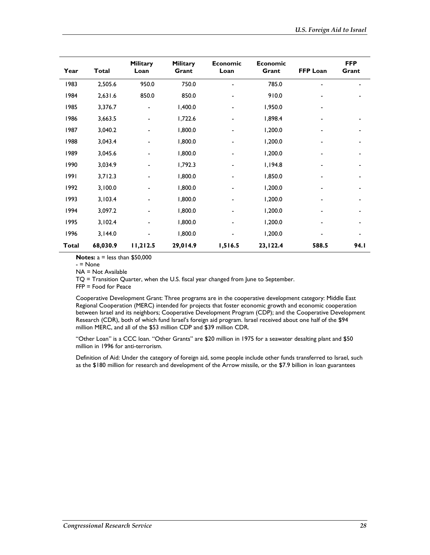| Year         | <b>Total</b> | <b>Military</b><br>Loan  | <b>Military</b><br>Grant | <b>Economic</b><br>Loan | <b>Economic</b><br>Grant | <b>FFP Loan</b> | <b>FFP</b><br>Grant |
|--------------|--------------|--------------------------|--------------------------|-------------------------|--------------------------|-----------------|---------------------|
| 1983         | 2,505.6      | 950.0                    | 750.0                    |                         | 785.0                    |                 |                     |
| 1984         | 2,631.6      | 850.0                    | 850.0                    |                         | 910.0                    |                 |                     |
| 1985         | 3,376.7      | $\overline{\phantom{0}}$ | 1,400.0                  | $\blacksquare$          | 1,950.0                  |                 |                     |
| 1986         | 3,663.5      |                          | 1,722.6                  |                         | 1,898.4                  |                 |                     |
| 1987         | 3,040.2      | ٠                        | 1,800.0                  | $\blacksquare$          | 1,200.0                  |                 |                     |
| 1988         | 3,043.4      | ٠                        | 1,800.0                  |                         | 1,200.0                  |                 |                     |
| 1989         | 3,045.6      |                          | 1,800.0                  |                         | 1,200.0                  |                 |                     |
| 1990         | 3,034.9      | L,                       | 1,792.3                  |                         | 1,194.8                  |                 |                     |
| 1991         | 3,712.3      | -                        | 1,800.0                  |                         | 1,850.0                  |                 |                     |
| 1992         | 3,100.0      |                          | 1,800.0                  |                         | 1,200.0                  |                 |                     |
| 1993         | 3,103.4      | ٠                        | 1,800.0                  | $\blacksquare$          | 1,200.0                  |                 |                     |
| 1994         | 3,097.2      | ٠                        | 1,800.0                  |                         | 1,200.0                  |                 |                     |
| 1995         | 3,102.4      |                          | 1,800.0                  |                         | 1,200.0                  |                 |                     |
| 1996         | 3,144.0      |                          | 1,800.0                  |                         | 1,200.0                  |                 |                     |
| <b>Total</b> | 68,030.9     | 11,212.5                 | 29,014.9                 | 1,516.5                 | 23,122.4                 | 588.5           | 94.I                |

**Notes:** a = less than \$50,000

 $=$  None

NA = Not Available

TQ = Transition Quarter, when the U.S. fiscal year changed from June to September.

FFP = Food for Peace

Cooperative Development Grant: Three programs are in the cooperative development category: Middle East Regional Cooperation (MERC) intended for projects that foster economic growth and economic cooperation between Israel and its neighbors; Cooperative Development Program (CDP); and the Cooperative Development Research (CDR), both of which fund Israel's foreign aid program. Israel received about one half of the \$94 million MERC, and all of the \$53 million CDP and \$39 million CDR.

"Other Loan" is a CCC loan. "Other Grants" are \$20 million in 1975 for a seawater desalting plant and \$50 million in 1996 for anti-terrorism.

Definition of Aid: Under the category of foreign aid, some people include other funds transferred to Israel, such as the \$180 million for research and development of the Arrow missile, or the \$7.9 billion in loan guarantees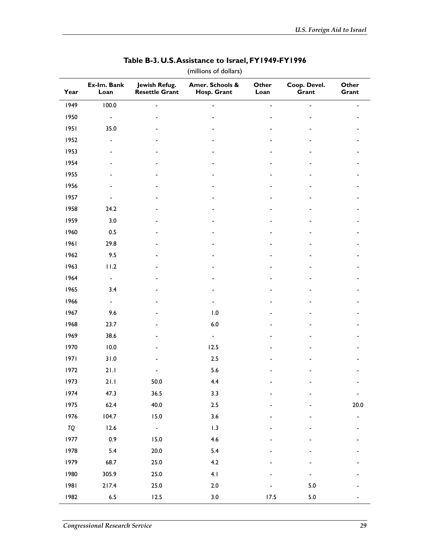| $($ iniiions or aoilei s $\frac{1}{2}$ |                          |                                        |                                |               |                       |                          |  |  |
|----------------------------------------|--------------------------|----------------------------------------|--------------------------------|---------------|-----------------------|--------------------------|--|--|
| Year                                   | Ex-Im. Bank<br>Loan      | Jewish Refug.<br><b>Resettle Grant</b> | Amer. Schools &<br>Hosp. Grant | Other<br>Loan | Coop. Devel.<br>Grant | Other<br>Grant           |  |  |
| 1949                                   | 100.0                    | $\overline{a}$                         |                                |               |                       |                          |  |  |
| 1950                                   |                          |                                        |                                |               |                       |                          |  |  |
| 1951                                   | 35.0                     |                                        |                                |               |                       |                          |  |  |
| 1952                                   |                          |                                        |                                |               |                       |                          |  |  |
| 1953                                   | $\overline{a}$           |                                        |                                |               |                       |                          |  |  |
| 1954                                   |                          |                                        |                                |               |                       |                          |  |  |
| 1955                                   |                          |                                        |                                |               |                       |                          |  |  |
| 1956                                   |                          |                                        |                                |               |                       |                          |  |  |
| 1957                                   | $\overline{\phantom{0}}$ |                                        |                                |               |                       |                          |  |  |
| 1958                                   | 24.2                     |                                        |                                |               |                       |                          |  |  |
| 1959                                   | $3.0$                    |                                        |                                |               |                       |                          |  |  |
| 1960                                   | $0.5\,$                  |                                        |                                |               |                       |                          |  |  |
| 1961                                   | 29.8                     |                                        |                                |               |                       |                          |  |  |
| 1962                                   | 9.5                      |                                        |                                |               |                       |                          |  |  |
| 1963                                   | 11.2                     |                                        |                                |               |                       |                          |  |  |
| 1964                                   | ÷.                       |                                        |                                |               |                       |                          |  |  |
| 1965                                   | 3.4                      |                                        |                                |               |                       |                          |  |  |
| 1966                                   | $\blacksquare$           |                                        |                                |               |                       |                          |  |  |
| 1967                                   | 9.6                      |                                        | 1.0                            |               |                       |                          |  |  |
| 1968                                   | 23.7                     |                                        | $6.0\,$                        |               |                       |                          |  |  |
| 1969                                   | 38.6                     |                                        | $\blacksquare$                 |               |                       |                          |  |  |
| 1970                                   | 10.0                     |                                        | 12.5                           |               |                       |                          |  |  |
| 1971                                   | 31.0                     |                                        | $2.5\,$                        |               |                       |                          |  |  |
| 1972                                   | 21.1                     |                                        | 5.6                            |               |                       |                          |  |  |
| 1973                                   | 21.1                     | 50.0                                   | 4.4                            |               |                       |                          |  |  |
| 1974                                   | 47.3                     | 36.5                                   | 3.3                            |               |                       | $\overline{\phantom{a}}$ |  |  |
| 1975                                   | 62.4                     | 40.0                                   | $2.5\,$                        |               |                       | $20.0\,$                 |  |  |
| 1976                                   | 104.7                    | 15.0                                   | 3.6                            |               |                       |                          |  |  |
| TQ                                     | 12.6                     | $\omega_{\rm c}$                       | 1.3                            |               |                       |                          |  |  |
| 1977                                   | $0.9\,$                  | 15.0                                   | 4.6                            |               |                       |                          |  |  |
| 1978                                   | $5.4$                    | $20.0\,$                               | 5.4                            |               |                       |                          |  |  |
| 1979                                   | 68.7                     | 25.0                                   | 4.2                            |               |                       |                          |  |  |
| 1980                                   | 305.9                    | 25.0                                   | 4.1                            |               |                       |                          |  |  |
| 1981                                   | 217.4                    | $25.0\,$                               | $2.0\,$                        |               | $5.0\,$               |                          |  |  |
| 1982                                   | $6.5\,$                  | $12.5$                                 | $3.0\,$                        | 17.5          | $5.0\,$               |                          |  |  |

#### **Table B-3. U.S. Assistance to Israel, FY1949-FY1996**

(millions of dollars)